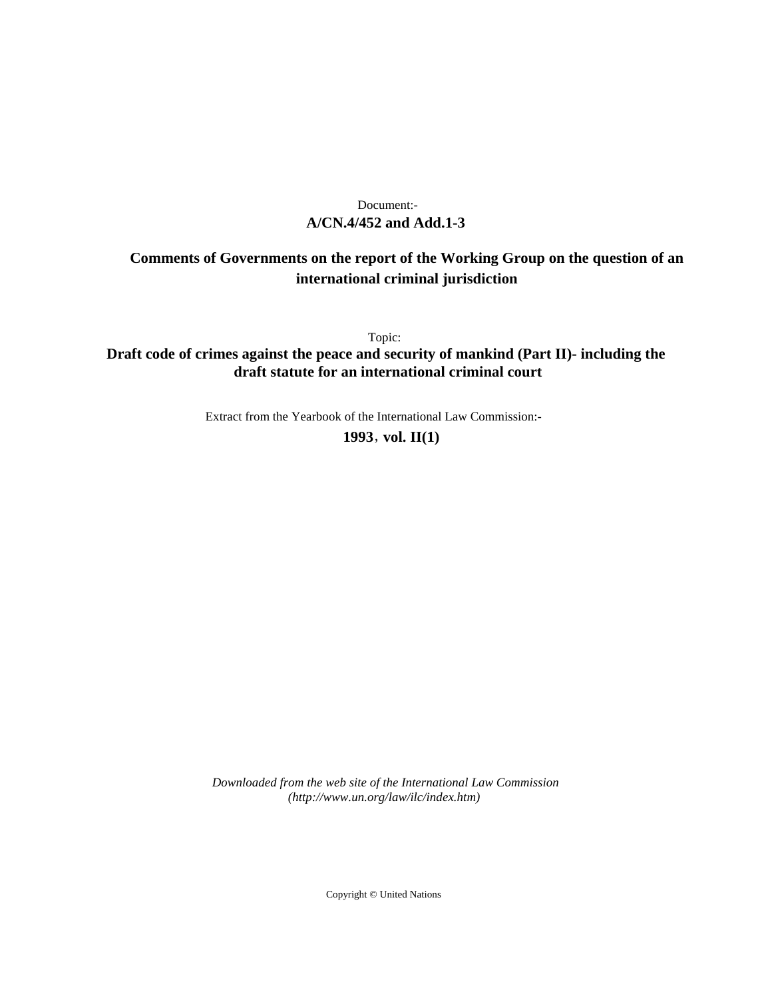# **A/CN.4/452 and Add.1-3** Document:-

# **Comments of Governments on the report of the Working Group on the question of an international criminal jurisdiction**

Topic:

**Draft code of crimes against the peace and security of mankind (Part II)- including the draft statute for an international criminal court**

Extract from the Yearbook of the International Law Commission:-

**1993** , **vol. II(1)**

*Downloaded from the web site of the International Law Commission (http://www.un.org/law/ilc/index.htm)*

Copyright © United Nations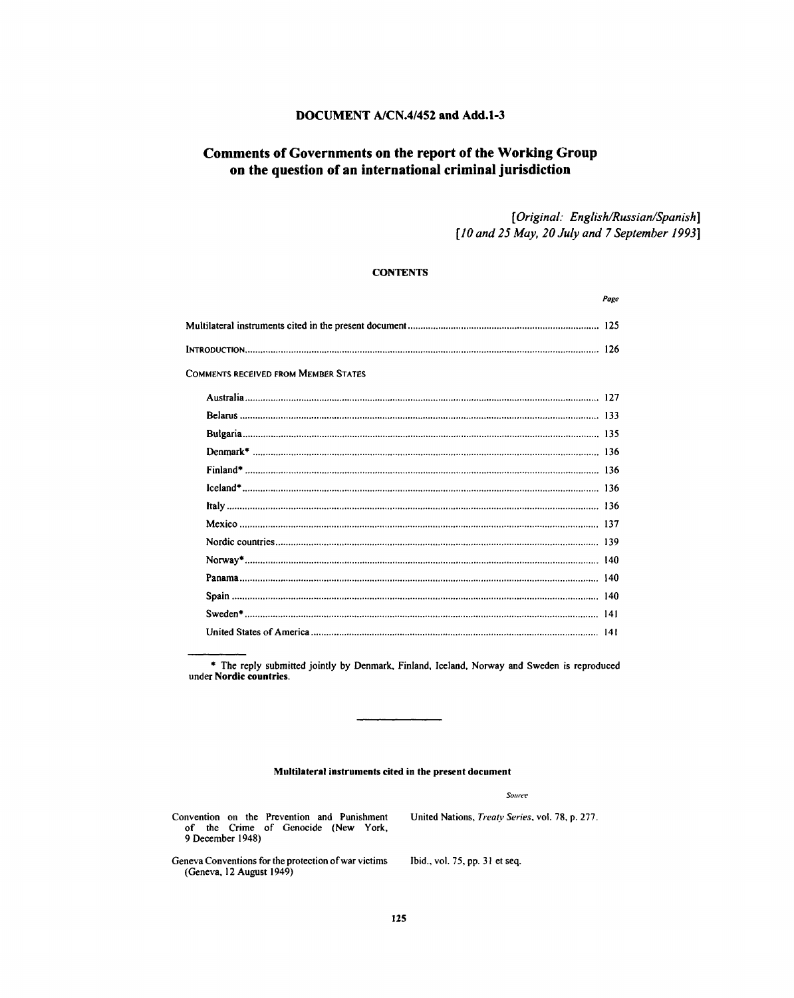# **DOCUMENT A/CN.4/452 and Add.1-3**

# **Comments of Governments on the report of the Working Group on the question of an international criminal jurisdiction**

*[Original: English/Russian/Spanish] [10 and 25 May, 20 July and 7 September 1993]*

# **CONTENTS**

|                                             | Page |
|---------------------------------------------|------|
|                                             |      |
|                                             |      |
| <b>COMMENTS RECEIVED FROM MEMBER STATES</b> |      |
|                                             |      |
|                                             |      |
|                                             |      |
|                                             |      |
|                                             |      |
|                                             |      |
|                                             |      |
|                                             |      |
|                                             |      |
|                                             |      |
|                                             |      |
|                                             |      |
|                                             |      |
|                                             |      |
|                                             |      |

\* The reply submitted jointly by Denmark, Finland, Iceland, Norway and Sweden is reproduced under **Nordic countries.**

#### **Multilateral instruments cited in the present document**

*Source*

Convention on the Prevention and Punishment United Nations, *Treaty Series,* vol. 78, p. 277. of the Crime of Genocide (New York, 9 December 1948)

Geneva Conventions for the protection of war victims Ibid., vol. 75, pp. 31 et seq. (Geneva, 12 August 1949)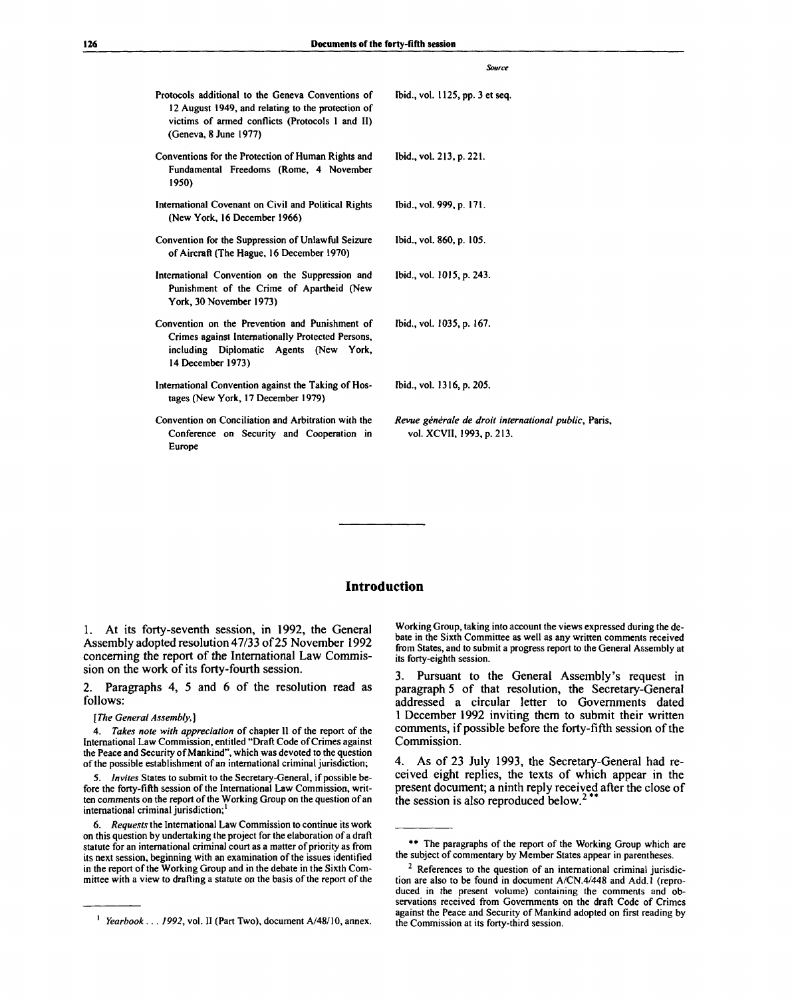|                                                                                                                                                                                    | <b>Source</b>                                                                     |
|------------------------------------------------------------------------------------------------------------------------------------------------------------------------------------|-----------------------------------------------------------------------------------|
| Protocols additional to the Geneva Conventions of<br>12 August 1949, and relating to the protection of<br>victims of armed conflicts (Protocols 1 and II)<br>(Geneva, 8 June 1977) | Ibid., vol. 1125, pp. 3 et seq.                                                   |
| Conventions for the Protection of Human Rights and<br>Fundamental Freedoms (Rome, 4 November<br>1950)                                                                              | Ibid., vol. 213, p. 221.                                                          |
| International Covenant on Civil and Political Rights<br>(New York, 16 December 1966)                                                                                               | Ibid., vol. 999, p. 171.                                                          |
| Convention for the Suppression of Unlawful Seizure<br>of Aircraft (The Hague, 16 December 1970)                                                                                    | Ibid., vol. 860, p. 105.                                                          |
| International Convention on the Suppression and<br>Punishment of the Crime of Apartheid (New<br>York, 30 November 1973)                                                            | Ibid., vol. 1015, p. 243.                                                         |
| Convention on the Prevention and Punishment of<br>Crimes against Internationally Protected Persons,<br>including Diplomatic<br>Agents (New York,<br>14 December 1973)              | Ibid., vol. 1035, p. 167.                                                         |
| International Convention against the Taking of Hos-<br>tages (New York, 17 December 1979)                                                                                          | Ibid., vol. 1316, p. 205.                                                         |
| Convention on Conciliation and Arbitration with the<br>Conference on Security and Cooperation in<br>Europe                                                                         | Revue générale de droit international public, Paris,<br>vol. XCVII, 1993, p. 213. |

# **Introduction**

1. At its forty-seventh session, in 1992, the General Assembly adopted resolution 47/33 of 25 November 1992 concerning the report of the International Law Commission on the work of its forty-fourth session.

2. Paragraphs 4, 5 and 6 of the resolution read as follows:

#### *[The General Assembly,]*

4. *Takes note with appreciation* of chapter II of the report of the International Law Commission, entitled "Draft Code of Crimes against the Peace and Security of Mankind", which was devoted to the question of the possible establishment of an international criminal jurisdiction;

5. *Invites* States to submit to the Secretary-General, if possible before the forty-fifth session of the International Law Commission, written comments on the report of the Working Group on the question of an international criminal jurisdiction;<sup>1</sup>

6. *Requests* the International Law Commission to continue its work on this question by undertaking the project for the elaboration of a draft statute for an international criminal court as a matter of priority as from its next session, beginning with an examination of the issues identified in the report of the Working Group and in the debate in the Sixth Committee with a view to drafting a statute on the basis of the report of the

Working Group, taking into account the views expressed during the debate in the Sixth Committee as well as any written comments received from States, and to submit a progress report to the General Assembly at its forty-eighth session.

3. Pursuant to the General Assembly's request in paragraph 5 of that resolution, the Secretary-General addressed a circular letter to Governments dated 1 December 1992 inviting them to submit their written comments, if possible before the forty-fifth session of the Commission.

4. As of 23 July 1993, the Secretary-General had received eight replies, the texts of which appear in the present document; a ninth reply received after the close of the session is also reproduced below.<sup>2\*\*</sup>

*Yearbook .. . 1992,* vol. II (Part Two), document A/48/10, annex.

<sup>\*\*</sup> The paragraphs of the report of the Working Group which are the subject of commentary by Member States appear in parentheses.

 $2$  References to the question of an international criminal jurisdiction are also to be found in document A/CN.4/448 and Add. 1 (reproduced in the present volume) containing the comments and observations received from Governments on the draft Code of Crimes against the Peace and Security of Mankind adopted on first reading by the Commission at its forty-third session.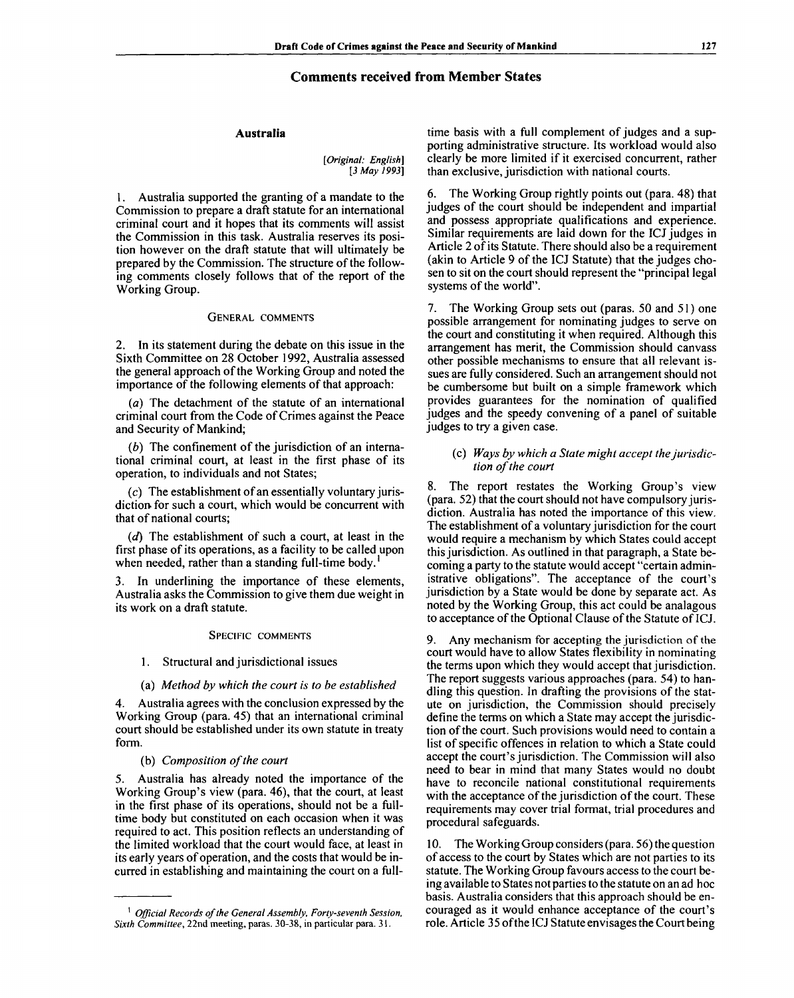# **Comments received from Member States**

#### **Australia**

*[Original: English] [3 May 1993]*

1. Australia supported the granting of a mandate to the Commission to prepare a draft statute for an international criminal court and it hopes that its comments will assist the Commission in this task. Australia reserves its position however on the draft statute that will ultimately be prepared by the Commission. The structure of the following comments closely follows that of the report of the Working Group.

### GENERAL COMMENTS

In its statement during the debate on this issue in the Sixth Committee on 28 October 1992, Australia assessed the general approach of the Working Group and noted the importance of the following elements of that approach:

*(a)* The detachment of the statute of an international criminal court from the Code of Crimes against the Peace and Security of Mankind;

*(b)* The confinement of the jurisdiction of an international criminal court, at least in the first phase of its operation, to individuals and not States;

 $(c)$  The establishment of an essentially voluntary jurisdiction for such a court, which would be concurrent with that of national courts;

*(d)* The establishment of such a court, at least in the first phase of its operations, as a facility to be called upon when needed, rather than a standing full-time body.'

3. In underlining the importance of these elements, Australia asks the Commission to give them due weight in its work on a draft statute.

#### SPECIFIC COMMENTS

# 1. Structural and jurisdictional issues

#### (a) *Method by which the court is to be established*

Australia agrees with the conclusion expressed by the Working Group (para. 45) that an international criminal court should be established under its own statute in treaty form.

# (b) *Composition of the court*

5. Australia has already noted the importance of the Working Group's view (para. 46), that the court, at least in the first phase of its operations, should not be a fulltime body but constituted on each occasion when it was required to act. This position reflects an understanding of the limited workload that the court would face, at least in its early years of operation, and the costs that would be incurred in establishing and maintaining the court on a fulltime basis with a full complement of judges and a supporting administrative structure. Its workload would also clearly be more limited if it exercised concurrent, rather than exclusive, jurisdiction with national courts.

6. The Working Group rightly points out (para. 48) that judges of the court should be independent and impartial and possess appropriate qualifications and experience. Similar requirements are laid down for the ICJ judges in Article 2 of its Statute. There should also be a requirement (akin to Article 9 of the ICJ Statute) that the judges chosen to sit on the court should represent the "principal legal systems of the world".

7. The Working Group sets out (paras. 50 and 51) one possible arrangement for nominating judges to serve on the court and constituting it when required. Although this arrangement has merit, the Commission should canvass other possible mechanisms to ensure that all relevant issues are fully considered. Such an arrangement should not be cumbersome but built on a simple framework which provides guarantees for the nomination of qualified judges and the speedy convening of a panel of suitable judges to try a given case.

### (c) *Ways by which a State might accept the jurisdiction of the court*

8. The report restates the Working Group's view (para. 52) that the court should not have compulsory jurisdiction. Australia has noted the importance of this view. The establishment of a voluntary jurisdiction for the court would require a mechanism by which States could accept this jurisdiction. As outlined in that paragraph, a State becoming a party to the statute would accept "certain administrative obligations". The acceptance of the court's jurisdiction by a State would be done by separate act. As noted by the Working Group, this act could be analagous to acceptance of the Optional Clause of the Statute of ICJ.

9. Any mechanism for accepting the jurisdiction of the court would have to allow States flexibility in nominating the terms upon which they would accept that jurisdiction. The report suggests various approaches (para. 54) to handling this question. In drafting the provisions of the statute on jurisdiction, the Commission should precisely define the terms on which a State may accept the jurisdiction of the court. Such provisions would need to contain a list of specific offences in relation to which a State could accept the court's jurisdiction. The Commission will also need to bear in mind that many States would no doubt have to reconcile national constitutional requirements with the acceptance of the jurisdiction of the court. These requirements may cover trial format, trial procedures and procedural safeguards.

10. The Working Group considers (para. 56) the question of access to the court by States which are not parties to its statute. The Working Group favours access to the court being available to States not parties to the statute on an ad hoc basis. Australia considers that this approach should be encouraged as it would enhance acceptance of the court's role. Article 35 of the ICJ Statute envisages the Court being

<sup>1</sup>  *Official Records of the General Assembly, Forty-seventh Session, Sixth Committee,* 22nd meeting, paras. 30-38, in particular para. 31.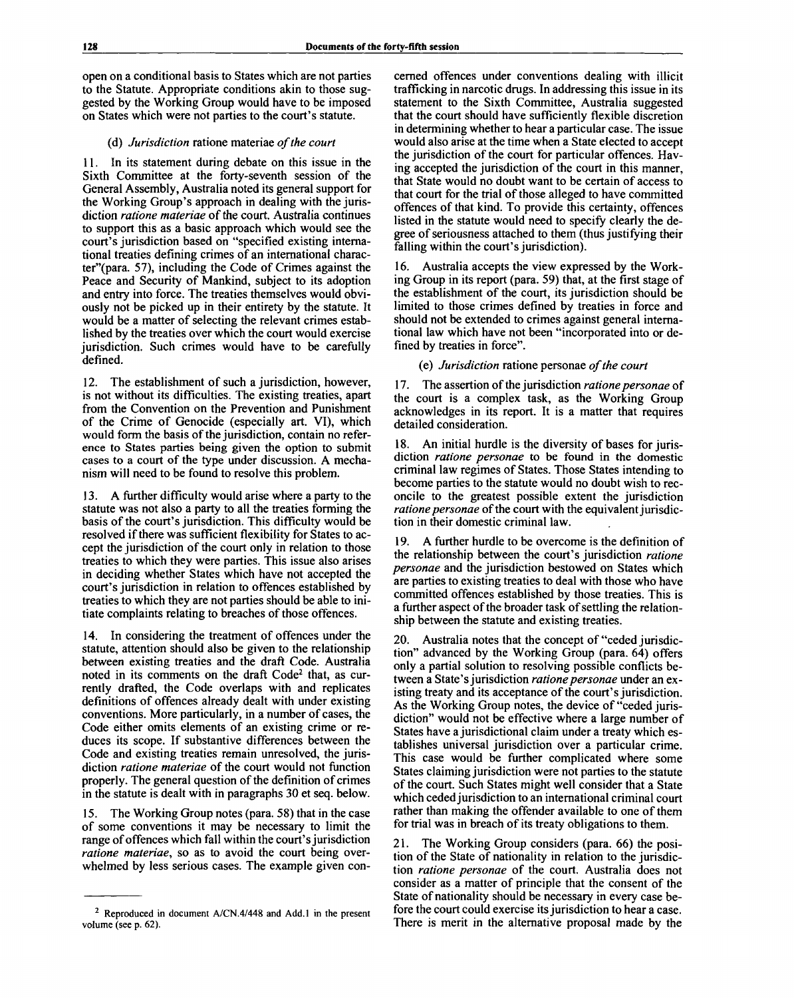open on a conditional basis to States which are not parties to the Statute. Appropriate conditions akin to those suggested by the Working Group would have to be imposed on States which were not parties to the court's statute.

# (d) *Jurisdiction* ratione materiae *of the court*

11. In its statement during debate on this issue in the Sixth Committee at the forty-seventh session of the General Assembly, Australia noted its general support for the Working Group's approach in dealing with the jurisdiction *ratione materiae* of the court. Australia continues to support this as a basic approach which would see the court's jurisdiction based on "specified existing international treaties defining crimes of an international character"(para. 57), including the Code of Crimes against the Peace and Security of Mankind, subject to its adoption and entry into force. The treaties themselves would obviously not be picked up in their entirety by the statute. It would be a matter of selecting the relevant crimes established by the treaties over which the court would exercise jurisdiction. Such crimes would have to be carefully defined.

12. The establishment of such a jurisdiction, however, is not without its difficulties. The existing treaties, apart from the Convention on the Prevention and Punishment of the Crime of Genocide (especially art. VI), which would form the basis of the jurisdiction, contain no reference to States parties being given the option to submit cases to a court of the type under discussion. A mechanism will need to be found to resolve this problem.

A further difficulty would arise where a party to the statute was not also a party to all the treaties forming the basis of the court's jurisdiction. This difficulty would be resolved if there was sufficient flexibility for States to accept the jurisdiction of the court only in relation to those treaties to which they were parties. This issue also arises in deciding whether States which have not accepted the court's jurisdiction in relation to offences established by treaties to which they are not parties should be able to initiate complaints relating to breaches of those offences.

14. In considering the treatment of offences under the statute, attention should also be given to the relationship between existing treaties and the draft Code. Australia noted in its comments on the draft Code<sup>2</sup> that, as currently drafted, the Code overlaps with and replicates definitions of offences already dealt with under existing conventions. More particularly, in a number of cases, the Code either omits elements of an existing crime or reduces its scope. If substantive differences between the Code and existing treaties remain unresolved, the jurisdiction *ratione materiae* of the court would not function properly. The general question of the definition of crimes in the statute is dealt with in paragraphs 30 et seq. below.

15. The Working Group notes (para. 58) that in the case of some conventions it may be necessary to limit the range of offences which fall within the court's jurisdiction *ratione materiae,* so as to avoid the court being overwhelmed by less serious cases. The example given concerned offences under conventions dealing with illicit trafficking in narcotic drugs. In addressing this issue in its statement to the Sixth Committee, Australia suggested that the court should have sufficiently flexible discretion in determining whether to hear a particular case. The issue would also arise at the time when a State elected to accept the jurisdiction of the court for particular offences. Having accepted the jurisdiction of the court in this manner, that State would no doubt want to be certain of access to that court for the trial of those alleged to have committed offences of that kind. To provide this certainty, offences listed in the statute would need to specify clearly the degree of seriousness attached to them (thus justifying their falling within the court's jurisdiction).

Australia accepts the view expressed by the Working Group in its report (para. 59) that, at the first stage of the establishment of the court, its jurisdiction should be limited to those crimes defined by treaties in force and should not be extended to crimes against general international law which have not been "incorporated into or defined by treaties in force".

(e) *Jurisdiction* ratione personae *of the court*

17. The assertion of the jurisdiction *ratione personae* of the court is a complex task, as the Working Group acknowledges in its report. It is a matter that requires detailed consideration.

18. An initial hurdle is the diversity of bases for jurisdiction *ratione personae* to be found in the domestic criminal law regimes of States. Those States intending to become parties to the statute would no doubt wish to reconcile to the greatest possible extent the jurisdiction *ratione personae* of the court with the equivalent jurisdiction in their domestic criminal law.

19. A further hurdle to be overcome is the definition of the relationship between the court's jurisdiction *ratione personae* and the jurisdiction bestowed on States which are parties to existing treaties to deal with those who have committed offences established by those treaties. This is a further aspect of the broader task of settling the relationship between the statute and existing treaties.

20. Australia notes that the concept of "ceded jurisdiction" advanced by the Working Group (para. 64) offers only a partial solution to resolving possible conflicts between a State's jurisdiction *ratione personae* under an existing treaty and its acceptance of the court's jurisdiction. As the Working Group notes, the device of "ceded jurisdiction" would not be effective where a large number of States have a jurisdictional claim under a treaty which establishes universal jurisdiction over a particular crime. This case would be further complicated where some States claiming jurisdiction were not parties to the statute of the court. Such States might well consider that a State which ceded jurisdiction to an international criminal court rather than making the offender available to one of them for trial was in breach of its treaty obligations to them.

21. The Working Group considers (para. 66) the position of the State of nationality in relation to the jurisdiction *ratione personae* of the court. Australia does not consider as a matter of principle that the consent of the State of nationality should be necessary in every case before the court could exercise its jurisdiction to hear a case. There is merit in the alternative proposal made by the

<sup>&</sup>lt;sup>2</sup> Reproduced in document A/CN.4/448 and Add.1 in the present volume (see p. 62).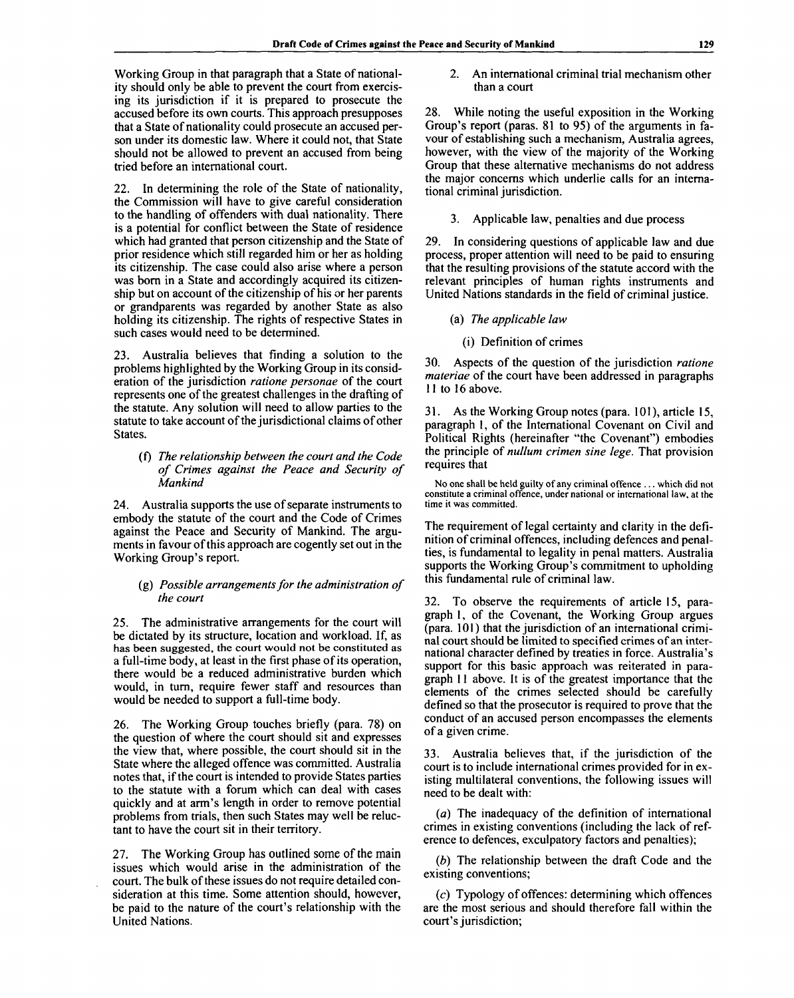Working Group in that paragraph that a State of nationality should only be able to prevent the court from exercising its jurisdiction if it is prepared to prosecute the accused before its own courts. This approach presupposes that a State of nationality could prosecute an accused person under its domestic law. Where it could not, that State should not be allowed to prevent an accused from being tried before an international court.

22. In determining the role of the State of nationality, the Commission will have to give careful consideration to the handling of offenders with dual nationality. There is a potential for conflict between the State of residence which had granted that person citizenship and the State of prior residence which still regarded him or her as holding its citizenship. The case could also arise where a person was born in a State and accordingly acquired its citizenship but on account of the citizenship of his or her parents or grandparents was regarded by another State as also holding its citizenship. The rights of respective States in such cases would need to be determined.

23. Australia believes that finding a solution to the problems highlighted by the Working Group in its consideration of the jurisdiction *ratione personae* of the court represents one of the greatest challenges in the drafting of the statute. Any solution will need to allow parties to the statute to take account of the jurisdictional claims of other States.

# (f) *The relationship between the court and the Code of Crimes against the Peace and Security of Mankind*

24. Australia supports the use of separate instruments to embody the statute of the court and the Code of Crimes against the Peace and Security of Mankind. The arguments in favour of this approach are cogently set out in the Working Group's report.

# (g) *Possible arrangements for the administration of the court*

25. The administrative arrangements for the court will be dictated by its structure, location and workload. If, as has been suggested, the court would not be constituted as a full-time body, at least in the first phase of its operation, there would be a reduced administrative burden which would, in turn, require fewer staff and resources than would be needed to support a full-time body.

26. The Working Group touches briefly (para. 78) on the question of where the court should sit and expresses the view that, where possible, the court should sit in the State where the alleged offence was committed. Australia notes that, if the court is intended to provide States parties to the statute with a forum which can deal with cases quickly and at arm's length in order to remove potential problems from trials, then such States may well be reluctant to have the court sit in their territory.

27. The Working Group has outlined some of the main issues which would arise in the administration of the court. The bulk of these issues do not require detailed consideration at this time. Some attention should, however, be paid to the nature of the court's relationship with the United Nations.

2. An international criminal trial mechanism other than a court

28. While noting the useful exposition in the Working Group's report (paras. 81 to 95) of the arguments in favour of establishing such a mechanism, Australia agrees, however, with the view of the majority of the Working Group that these alternative mechanisms do not address the major concerns which underlie calls for an international criminal jurisdiction.

# 3. Applicable law, penalties and due process

29. In considering questions of applicable law and due process, proper attention will need to be paid to ensuring that the resulting provisions of the statute accord with the relevant principles of human rights instruments and United Nations standards in the field of criminal justice.

(a) *The applicable law*

# (i) Definition of crimes

30. Aspects of the question of the jurisdiction *ratione materiae* of the court have been addressed in paragraphs 11 to 16 above.

31. As the Working Group notes (para. 101), article 15, paragraph 1, of the International Covenant on Civil and Political Rights (hereinafter "the Covenant") embodies the principle of *nullum crimen sine lege.* That provision requires that

No one shall be held guilty of any criminal offence ... which did not constitute a criminal offence, under national or international law, at the time it was committed.

The requirement of legal certainty and clarity in the definition of criminal offences, including defences and penalties, is fundamental to legality in penal matters. Australia supports the Working Group's commitment to upholding this fundamental rule of criminal law.

32. To observe the requirements of article 15, paragraph 1, of the Covenant, the Working Group argues (para. 101) that the jurisdiction of an international criminal court should be limited to specified crimes of an international character defined by treaties in force. Australia's support for this basic approach was reiterated in paragraph 11 above. It is of the greatest importance that the elements of the crimes selected should be carefully defined so that the prosecutor is required to prove that the conduct of an accused person encompasses the elements of a given crime.

33. Australia believes that, if the jurisdiction of the court is to include international crimes provided for in existing multilateral conventions, the following issues will need to be dealt with:

*(a)* The inadequacy of the definition of international crimes in existing conventions (including the lack of reference to defences, exculpatory factors and penalties);

*(b)* The relationship between the draft Code and the existing conventions;

(c) Typology of offences: determining which offences are the most serious and should therefore fall within the court's jurisdiction;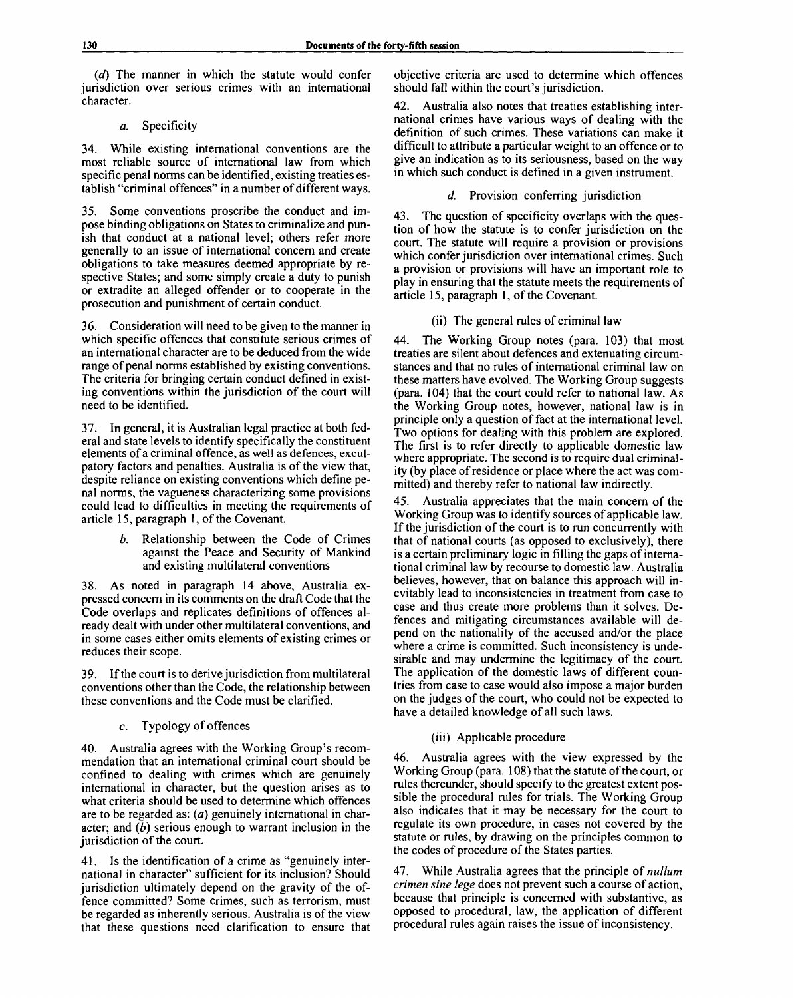*(d)* The manner in which the statute would confer jurisdiction over serious crimes with an international character.

# *a.* Specificity

34. While existing international conventions are the most reliable source of international law from which specific penal norms can be identified, existing treaties establish "criminal offences" in a number of different ways.

35. Some conventions proscribe the conduct and impose binding obligations on States to criminalize and punish that conduct at a national level; others refer more generally to an issue of international concern and create obligations to take measures deemed appropriate by respective States; and some simply create a duty to punish or extradite an alleged offender or to cooperate in the prosecution and punishment of certain conduct.

36. Consideration will need to be given to the manner in which specific offences that constitute serious crimes of an international character are to be deduced from the wide range of penal norms established by existing conventions. The criteria for bringing certain conduct defined in existing conventions within the jurisdiction of the court will need to be identified.

37. In general, it is Australian legal practice at both federal and state levels to identify specifically the constituent elements of a criminal offence, as well as defences, exculpatory factors and penalties. Australia is of the view that, despite reliance on existing conventions which define penal norms, the vagueness characterizing some provisions could lead to difficulties in meeting the requirements of article 15, paragraph 1, of the Covenant.

> *b.* Relationship between the Code of Crimes against the Peace and Security of Mankind and existing multilateral conventions

38. As noted in paragraph 14 above, Australia expressed concern in its comments on the draft Code that the Code overlaps and replicates definitions of offences already dealt with under other multilateral conventions, and in some cases either omits elements of existing crimes or reduces their scope.

39. If the court is to derive jurisdiction from multilateral conventions other than the Code, the relationship between these conventions and the Code must be clarified.

# c. Typology of offences

40. Australia agrees with the Working Group's recommendation that an international criminal court should be confined to dealing with crimes which are genuinely international in character, but the question arises as to what criteria should be used to determine which offences are to be regarded as: *(a)* genuinely international in character; and *(b)* serious enough to warrant inclusion in the jurisdiction of the court.

41. Is the identification of a crime as "genuinely international in character" sufficient for its inclusion? Should jurisdiction ultimately depend on the gravity of the offence committed? Some crimes, such as terrorism, must be regarded as inherently serious. Australia is of the view that these questions need clarification to ensure that objective criteria are used to determine which offences should fall within the court's jurisdiction.

Australia also notes that treaties establishing international crimes have various ways of dealing with the definition of such crimes. These variations can make it difficult to attribute a particular weight to an offence or to give an indication as to its seriousness, based on the way in which such conduct is defined in a given instrument.

# *d.* Provision conferring jurisdiction

43. The question of specificity overlaps with the question of how the statute is to confer jurisdiction on the court. The statute will require a provision or provisions which confer jurisdiction over international crimes. Such a provision or provisions will have an important role to play in ensuring that the statute meets the requirements of article 15, paragraph 1, of the Covenant.

# (ii) The general rules of criminal law

44. The Working Group notes (para. 103) that most treaties are silent about defences and extenuating circumstances and that no rules of international criminal law on these matters have evolved. The Working Group suggests (para. 104) that the court could refer to national law. As the Working Group notes, however, national law is in principle only a question of fact at the international level. Two options for dealing with this problem are explored. The first is to refer directly to applicable domestic law where appropriate. The second is to require dual criminality (by place of residence or place where the act was committed) and thereby refer to national law indirectly.

45. Australia appreciates that the main concern of the Working Group was to identify sources of applicable law. If the jurisdiction of the court is to run concurrently with that of national courts (as opposed to exclusively), there is a certain preliminary logic in filling the gaps of international criminal law by recourse to domestic law. Australia believes, however, that on balance this approach will inevitably lead to inconsistencies in treatment from case to case and thus create more problems than it solves. Defences and mitigating circumstances available will depend on the nationality of the accused and/or the place where a crime is committed. Such inconsistency is undesirable and may undermine the legitimacy of the court. The application of the domestic laws of different countries from case to case would also impose a major burden on the judges of the court, who could not be expected to have a detailed knowledge of all such laws.

# (iii) Applicable procedure

46. Australia agrees with the view expressed by the Working Group (para. 108) that the statute of the court, or rules thereunder, should specify to the greatest extent possible the procedural rules for trials. The Working Group also indicates that it may be necessary for the court to regulate its own procedure, in cases not covered by the statute or rules, by drawing on the principles common to the codes of procedure of the States parties.

47. While Australia agrees that the principle of *nullum crimen sine lege* does not prevent such a course of action, because that principle is concerned with substantive, as opposed to procedural, law, the application of different procedural rules again raises the issue of inconsistency.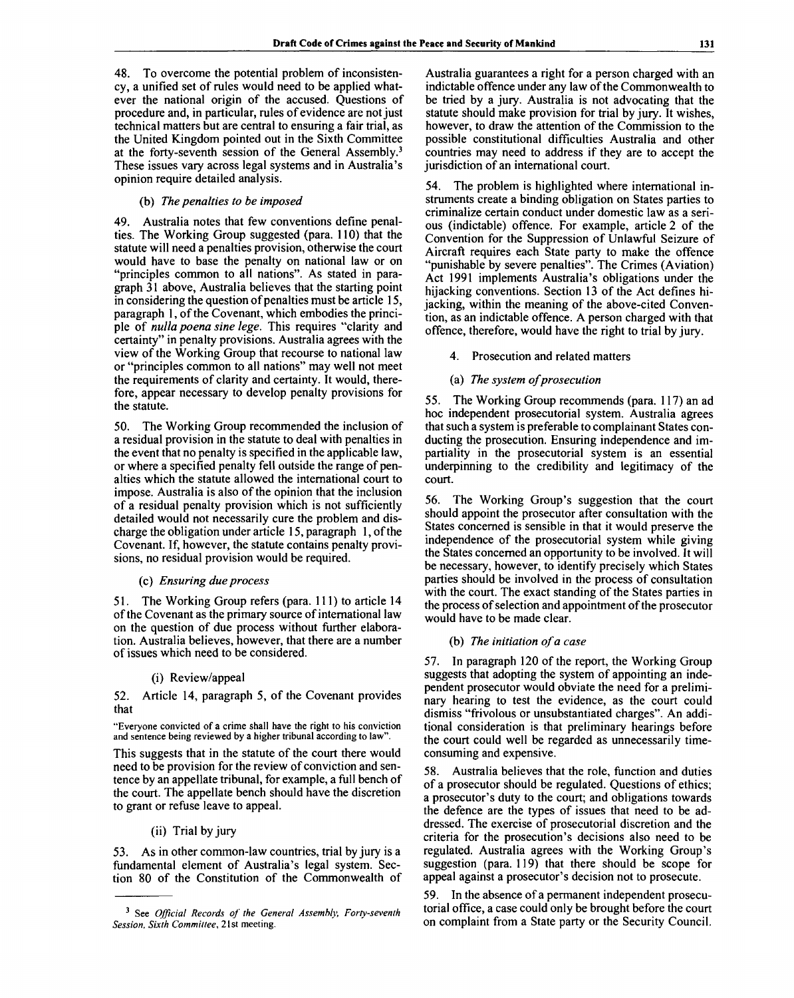48. To overcome the potential problem of inconsistency, a unified set of rules would need to be applied whatever the national origin of the accused. Questions of procedure and, in particular, rules of evidence are not just technical matters but are central to ensuring a fair trial, as the United Kingdom pointed out in the Sixth Committee at the forty-seventh session of the General Assembly.<sup>3</sup> These issues vary across legal systems and in Australia's opinion require detailed analysis.

#### (b) *The penalties to be imposed*

49. Australia notes that few conventions define penalties. The Working Group suggested (para. 110) that the statute will need a penalties provision, otherwise the court would have to base the penalty on national law or on "principles common to all nations". As stated in paragraph 31 above, Australia believes that the starting point in considering the question of penalties must be article 15, paragraph 1, of the Covenant, which embodies the principle of *nulla poena sine lege.* This requires "clarity and certainty" in penalty provisions. Australia agrees with the view of the Working Group that recourse to national law or "principles common to all nations" may well not meet the requirements of clarity and certainty. It would, therefore, appear necessary to develop penalty provisions for the statute.

50. The Working Group recommended the inclusion of a residual provision in the statute to deal with penalties in the event that no penalty is specified in the applicable law, or where a specified penalty fell outside the range of penalties which the statute allowed the international court to impose. Australia is also of the opinion that the inclusion of a residual penalty provision which is not sufficiently detailed would not necessarily cure the problem and discharge the obligation under article 15, paragraph 1, of the Covenant. If, however, the statute contains penalty provisions, no residual provision would be required.

#### (c) *Ensuring due process*

51. The Working Group refers (para. 111) to article 14 of the Covenant as the primary source of international law on the question of due process without further elaboration. Australia believes, however, that there are a number of issues which need to be considered.

#### (i) Review/appeal

52. Article 14, paragraph 5, of the Covenant provides that

"Everyone convicted of a crime shall have the right to his conviction and sentence being reviewed by a higher tribunal according to law".

This suggests that in the statute of the court there would need to be provision for the review of conviction and sentence by an appellate tribunal, for example, a full bench of the court. The appellate bench should have the discretion to grant or refuse leave to appeal.

# (ii) Trial by jury

53. As in other common-law countries, trial by jury is a fundamental element of Australia's legal system. Section 80 of the Constitution of the Commonwealth of

Australia guarantees a right for a person charged with an indictable offence under any law of the Commonwealth to be tried by a jury. Australia is not advocating that the statute should make provision for trial by jury. It wishes, however, to draw the attention of the Commission to the possible constitutional difficulties Australia and other countries may need to address if they are to accept the jurisdiction of an international court.

54. The problem is highlighted where international instruments create a binding obligation on States parties to criminalize certain conduct under domestic law as a serious (indictable) offence. For example, article 2 of the Convention for the Suppression of Unlawful Seizure of Aircraft requires each State party to make the offence "punishable by severe penalties". The Crimes (Aviation) Act 1991 implements Australia's obligations under the hijacking conventions. Section 13 of the Act defines hijacking, within the meaning of the above-cited Convention, as an indictable offence. A person charged with that offence, therefore, would have the right to trial by jury.

4. Prosecution and related matters

# (a) *The system of prosecution*

55. The Working Group recommends (para. 117) an ad hoc independent prosecutorial system. Australia agrees that such a system is preferable to complainant States conducting the prosecution. Ensuring independence and impartiality in the prosecutorial system is an essential underpinning to the credibility and legitimacy of the court.

56. The Working Group's suggestion that the court should appoint the prosecutor after consultation with the States concerned is sensible in that it would preserve the independence of the prosecutorial system while giving the States concerned an opportunity to be involved. It will be necessary, however, to identify precisely which States parties should be involved in the process of consultation with the court. The exact standing of the States parties in the process of selection and appointment of the prosecutor would have to be made clear.

#### (b) *The initiation of a case*

57. In paragraph 120 of the report, the Working Group suggests that adopting the system of appointing an independent prosecutor would obviate the need for a preliminary hearing to test the evidence, as the court could dismiss "frivolous or unsubstantiated charges". An additional consideration is that preliminary hearings before the court could well be regarded as unnecessarily timeconsuming and expensive.

58. Australia believes that the role, function and duties of a prosecutor should be regulated. Questions of ethics; a prosecutor's duty to the court; and obligations towards the defence are the types of issues that need to be addressed. The exercise of prosecutorial discretion and the criteria for the prosecution's decisions also need to be regulated. Australia agrees with the Working Group's suggestion (para. 119) that there should be scope for appeal against a prosecutor's decision not to prosecute.

59. In the absence of a permanent independent prosecutorial office, a case could only be brought before the court on complaint from a State party or the Security Council.

<sup>3</sup> See *Official Records of the General Assembly, Forty-seventh Session. Sixth Committee, 2*1 st meeting.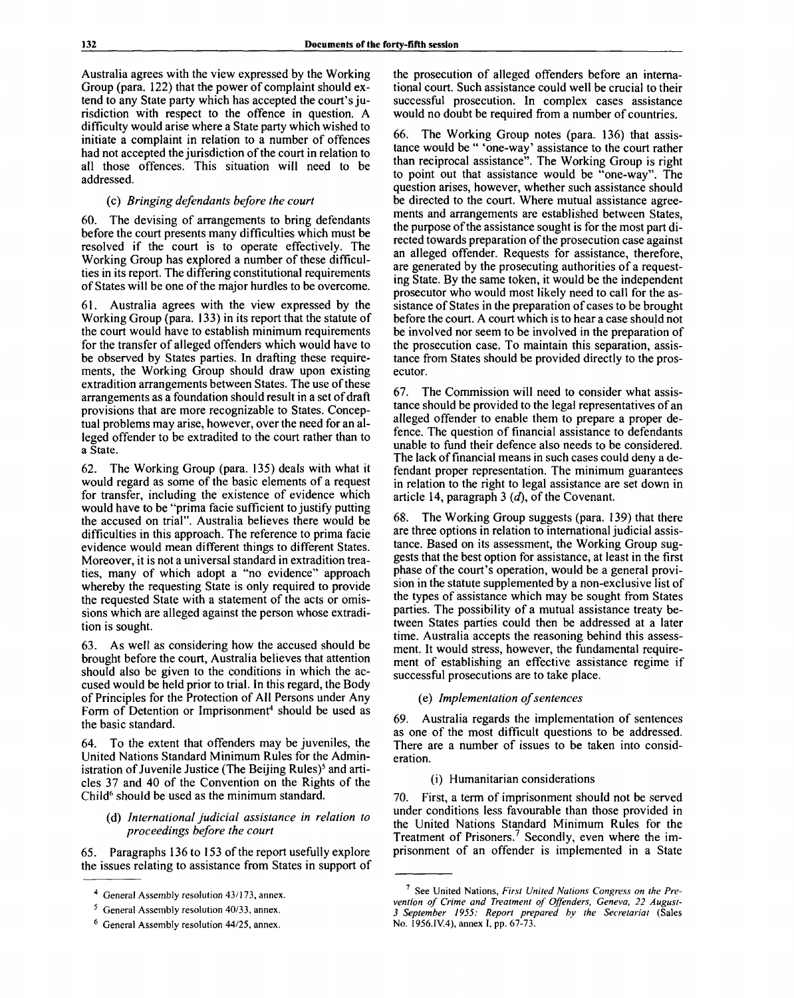Australia agrees with the view expressed by the Working Group (para. 122) that the power of complaint should extend to any State party which has accepted the court's jurisdiction with respect to the offence in question. A difficulty would arise where a State party which wished to initiate a complaint in relation to a number of offences had not accepted the jurisdiction of the court in relation to all those offences. This situation will need to be addressed.

# (c) *Bringing defendants before the court*

60. The devising of arrangements to bring defendants before the court presents many difficulties which must be resolved if the court is to operate effectively. The Working Group has explored a number of these difficulties in its report. The differing constitutional requirements of States will be one of the major hurdles to be overcome.

61. Australia agrees with the view expressed by the Working Group (para. 133) in its report that the statute of the court would have to establish minimum requirements for the transfer of alleged offenders which would have to be observed by States parties. In drafting these requirements, the Working Group should draw upon existing extradition arrangements between States. The use of these arrangements as a foundation should result in a set of draft provisions that are more recognizable to States. Conceptual problems may arise, however, over the need for an alleged offender to be extradited to the court rather than to a State.

62. The Working Group (para. 135) deals with what it would regard as some of the basic elements of a request for transfer, including the existence of evidence which would have to be "prima facie sufficient to justify putting the accused on trial". Australia believes there would be difficulties in this approach. The reference to prima facie evidence would mean different things to different States. Moreover, it is not a universal standard in extradition treaties, many of which adopt a "no evidence" approach whereby the requesting State is only required to provide the requested State with a statement of the acts or omissions which are alleged against the person whose extradition is sought.

63. As well as considering how the accused should be brought before the court, Australia believes that attention should also be given to the conditions in which the accused would be held prior to trial. In this regard, the Body of Principles for the Protection of All Persons under Any Form of Detention or Imprisonment<sup>4</sup> should be used as the basic standard.

64. To the extent that offenders may be juveniles, the United Nations Standard Minimum Rules for the Administration of Juvenile Justice (The Beijing Rules)<sup>5</sup> and articles 37 and 40 of the Convention on the Rights of the Child<sup>6</sup> should be used as the minimum standard.

# (d) *International judicial assistance in relation to proceedings before the court*

65. Paragraphs 136 to 153 of the report usefully explore the issues relating to assistance from States in support of

the prosecution of alleged offenders before an international court. Such assistance could well be crucial to their successful prosecution. In complex cases assistance would no doubt be required from a number of countries.

66. The Working Group notes (para. 136) that assistance would be " 'one-way' assistance to the court rather than reciprocal assistance". The Working Group is right to point out that assistance would be "one-way". The question arises, however, whether such assistance should be directed to the court. Where mutual assistance agreements and arrangements are established between States, the purpose of the assistance sought is for the most part directed towards preparation of the prosecution case against an alleged offender. Requests for assistance, therefore, are generated by the prosecuting authorities of a requesting State. By the same token, it would be the independent prosecutor who would most likely need to call for the assistance of States in the preparation of cases to be brought before the court. A court which is to hear a case should not be involved nor seem to be involved in the preparation of the prosecution case. To maintain this separation, assistance from States should be provided directly to the prosecutor.

67. The Commission will need to consider what assistance should be provided to the legal representatives of an alleged offender to enable them to prepare a proper defence. The question of financial assistance to defendants unable to fund their defence also needs to be considered. The lack of financial means in such cases could deny a defendant proper representation. The minimum guarantees in relation to the right to legal assistance are set down in article 14, paragraph 3 *(d),* of the Covenant.

68. The Working Group suggests (para. 139) that there are three options in relation to international judicial assistance. Based on its assessment, the Working Group suggests that the best option for assistance, at least in the first phase of the court's operation, would be a general provision in the statute supplemented by a non-exclusive list of the types of assistance which may be sought from States parties. The possibility of a mutual assistance treaty between States parties could then be addressed at a later time. Australia accepts the reasoning behind this assessment. It would stress, however, the fundamental requirement of establishing an effective assistance regime if successful prosecutions are to take place.

### (e) *Implementation of sentences*

69. Australia regards the implementation of sentences as one of the most difficult questions to be addressed. There are a number of issues to be taken into consideration.

### (i) Humanitarian considerations

70. First, a term of imprisonment should not be served under conditions less favourable than those provided in the United Nations Standard Minimum Rules for the Treatment of Prisoners.<sup>7</sup> Secondly, even where the imprisonment of an offender is implemented in a State

<sup>4</sup> General Assembly resolution 43/173, annex.

<sup>&</sup>lt;sup>5</sup> General Assembly resolution 40/33, annex.

<sup>6</sup> General Assembly resolution 44/25, annex.

<sup>7</sup> See United Nations, *First United Nations Congress on the Prevention of Crime and Treatment of Offenders, Geneva, 22 August-3 September 1955: Report prepared bv the Secretariat* (Sales No. 1956.IV.4), annex I, pp. 67-73.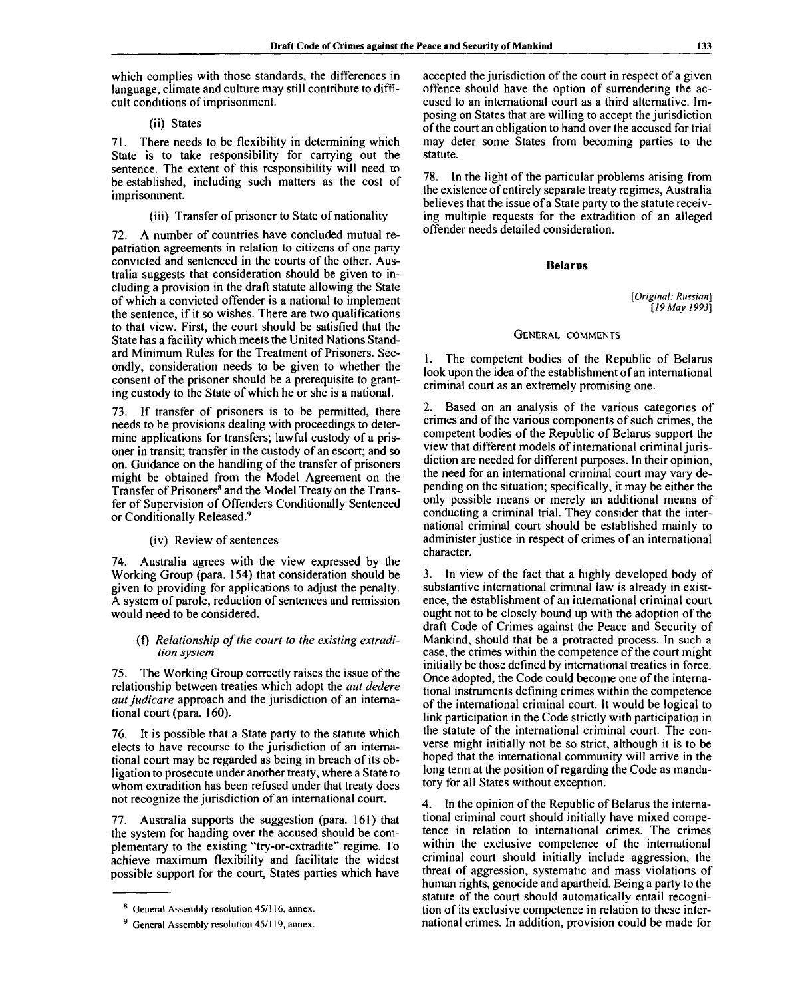which complies with those standards, the differences in language, climate and culture may still contribute to difficult conditions of imprisonment.

# (ii) States

71. There needs to be flexibility in determining which State is to take responsibility for carrying out the sentence. The extent of this responsibility will need to be established, including such matters as the cost of imprisonment.

# (iii) Transfer of prisoner to State of nationality

72. A number of countries have concluded mutual repatriation agreements in relation to citizens of one party convicted and sentenced in the courts of the other. Australia suggests that consideration should be given to including a provision in the draft statute allowing the State of which a convicted offender is a national to implement the sentence, if it so wishes. There are two qualifications to that view. First, the court should be satisfied that the State has a facility which meets the United Nations Standard Minimum Rules for the Treatment of Prisoners. Secondly, consideration needs to be given to whether the consent of the prisoner should be a prerequisite to granting custody to the State of which he or she is a national.

73. If transfer of prisoners is to be permitted, there needs to be provisions dealing with proceedings to determine applications for transfers; lawful custody of a prisoner in transit; transfer in the custody of an escort; and so on. Guidance on the handling of the transfer of prisoners might be obtained from the Model Agreement on the Transfer of Prisoners<sup>8</sup> and the Model Treaty on the Transfer of Supervision of Offenders Conditionally Sentenced or Conditionally Released.<sup>9</sup>

# (iv) Review of sentences

74. Australia agrees with the view expressed by the Working Group (para. 154) that consideration should be given to providing for applications to adjust the penalty. A system of parole, reduction of sentences and remission would need to be considered.

# (f) *Relationship of the court to the existing extradition system*

75. The Working Group correctly raises the issue of the relationship between treaties which adopt the *aut dedere aut judicare* approach and the jurisdiction of an international court (para. 160).

76. It is possible that a State party to the statute which elects to have recourse to the jurisdiction of an international court may be regarded as being in breach of its obligation to prosecute under another treaty, where a State to whom extradition has been refused under that treaty does not recognize the jurisdiction of an international court.

77. Australia supports the suggestion (para. 161) that the system for handing over the accused should be complementary to the existing "try-or-extradite" regime. To achieve maximum flexibility and facilitate the widest possible support for the court, States parties which have

accepted the jurisdiction of the court in respect of a given offence should have the option of surrendering the accused to an international court as a third alternative. Imposing on States that are willing to accept the jurisdiction of the court an obligation to hand over the accused for trial may deter some States from becoming parties to the statute.

78. In the light of the particular problems arising from the existence of entirely separate treaty regimes, Australia believes that the issue of a State party to the statute receiving multiple requests for the extradition of an alleged offender needs detailed consideration.

# **Belarus**

*[Original: Russian] [19 May 1993]*

# GENERAL COMMENTS

The competent bodies of the Republic of Belarus look upon the idea of the establishment of an international criminal court as an extremely promising one.

2. Based on an analysis of the various categories of crimes and of the various components of such crimes, the competent bodies of the Republic of Belarus support the view that different models of international criminal jurisdiction are needed for different purposes. In their opinion, the need for an international criminal court may vary depending on the situation; specifically, it may be either the only possible means or merely an additional means of conducting a criminal trial. They consider that the international criminal court should be established mainly to administer justice in respect of crimes of an international character.

3. In view of the fact that a highly developed body of substantive international criminal law is already in existence, the establishment of an international criminal court ought not to be closely bound up with the adoption of the draft Code of Crimes against the Peace and Security of Mankind, should that be a protracted process. In such a case, the crimes within the competence of the court might initially be those defined by international treaties in force. Once adopted, the Code could become one of the international instruments defining crimes within the competence of the international criminal court. It would be logical to link participation in the Code strictly with participation in the statute of the international criminal court. The converse might initially not be so strict, although it is to be hoped that the international community will arrive in the long term at the position of regarding the Code as mandatory for all States without exception.

4. In the opinion of the Republic of Belarus the international criminal court should initially have mixed competence in relation to international crimes. The crimes within the exclusive competence of the international criminal court should initially include aggression, the threat of aggression, systematic and mass violations of human rights, genocide and apartheid. Being a party to the statute of the court should automatically entail recognition of its exclusive competence in relation to these international crimes. In addition, provision could be made for

<sup>8</sup> General Assembly resolution 45/116, annex.

<sup>&</sup>lt;sup>9</sup> General Assembly resolution 45/119, annex.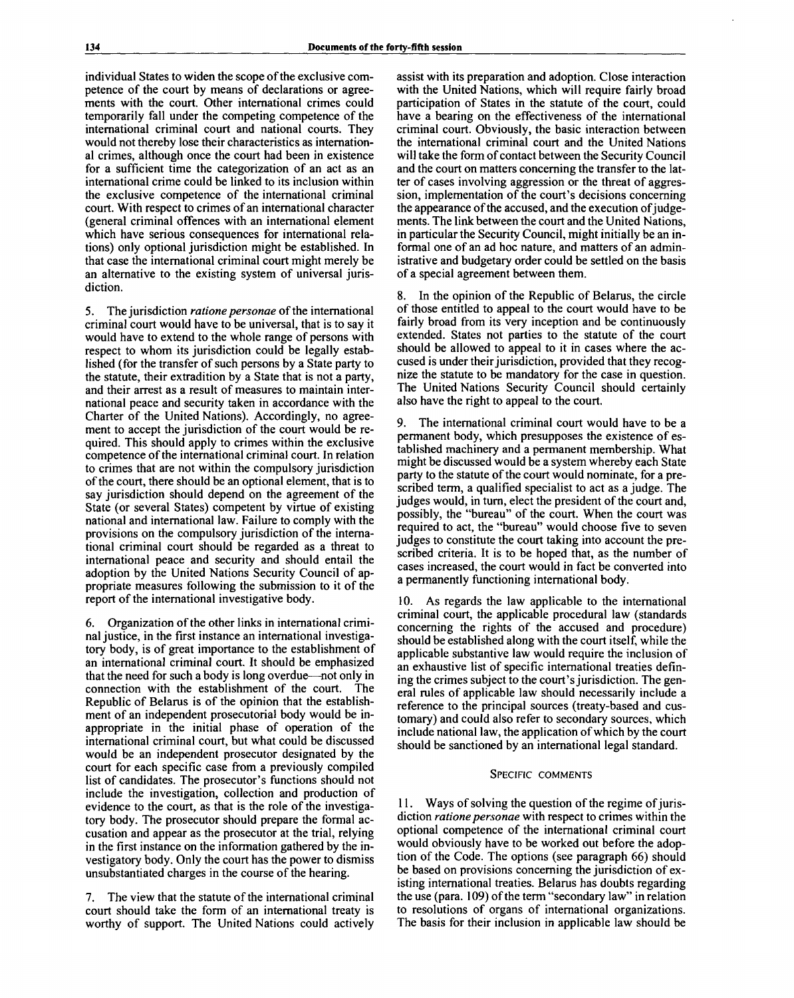individual States to widen the scope of the exclusive competence of the court by means of declarations or agreements with the court. Other international crimes could temporarily fall under the competing competence of the international criminal court and national courts. They would not thereby lose their characteristics as international crimes, although once the court had been in existence for a sufficient time the categorization of an act as an international crime could be linked to its inclusion within the exclusive competence of the international criminal court. With respect to crimes of an international character (general criminal offences with an international element which have serious consequences for international relations) only optional jurisdiction might be established. In that case the international criminal court might merely be an alternative to the existing system of universal jurisdiction.

5. The jurisdiction *ratione personae* of the international criminal court would have to be universal, that is to say it would have to extend to the whole range of persons with respect to whom its jurisdiction could be legally established (for the transfer of such persons by a State party to the statute, their extradition by a State that is not a party, and their arrest as a result of measures to maintain international peace and security taken in accordance with the Charter of the United Nations). Accordingly, no agreement to accept the jurisdiction of the court would be required. This should apply to crimes within the exclusive competence of the international criminal court. In relation to crimes that are not within the compulsory jurisdiction of the court, there should be an optional element, that is to say jurisdiction should depend on the agreement of the State (or several States) competent by virtue of existing national and international law. Failure to comply with the provisions on the compulsory jurisdiction of the international criminal court should be regarded as a threat to international peace and security and should entail the adoption by the United Nations Security Council of appropriate measures following the submission to it of the report of the international investigative body.

6. Organization of the other links in international criminal justice, in the first instance an international investigatory body, is of great importance to the establishment of an international criminal court. It should be emphasized that the need for such a body is long overdue—not only in connection with the establishment of the court. The Republic of Belarus is of the opinion that the establishment of an independent prosecutorial body would be inappropriate in the initial phase of operation of the international criminal court, but what could be discussed would be an independent prosecutor designated by the court for each specific case from a previously compiled list of candidates. The prosecutor's functions should not include the investigation, collection and production of evidence to the court, as that is the role of the investigatory body. The prosecutor should prepare the formal accusation and appear as the prosecutor at the trial, relying in the first instance on the information gathered by the investigatory body. Only the court has the power to dismiss unsubstantiated charges in the course of the hearing.

7. The view that the statute of the international criminal court should take the form of an international treaty is worthy of support. The United Nations could actively assist with its preparation and adoption. Close interaction with the United Nations, which will require fairly broad participation of States in the statute of the court, could have a bearing on the effectiveness of the international criminal court. Obviously, the basic interaction between the international criminal court and the United Nations will take the form of contact between the Security Council and the court on matters concerning the transfer to the latter of cases involving aggression or the threat of aggression, implementation of the court's decisions concerning the appearance of the accused, and the execution of judgements. The link between the court and the United Nations, in particular the Security Council, might initially be an informal one of an ad hoc nature, and matters of an administrative and budgetary order could be settled on the basis of a special agreement between them.

In the opinion of the Republic of Belarus, the circle of those entitled to appeal to the court would have to be fairly broad from its very inception and be continuously extended. States not parties to the statute of the court should be allowed to appeal to it in cases where the accused is under their jurisdiction, provided that they recognize the statute to be mandatory for the case in question. The United Nations Security Council should certainly also have the right to appeal to the court.

9. The international criminal court would have to be a permanent body, which presupposes the existence of established machinery and a permanent membership. What might be discussed would be a system whereby each State party to the statute of the court would nominate, for a prescribed term, a qualified specialist to act as a judge. The judges would, in turn, elect the president of the court and, possibly, the "bureau" of the court. When the court was required to act, the "bureau" would choose five to seven judges to constitute the court taking into account the prescribed criteria. It is to be hoped that, as the number of cases increased, the court would in fact be converted into a permanently functioning international body.

10. As regards the law applicable to the international criminal court, the applicable procedural law (standards concerning the rights of the accused and procedure) should be established along with the court itself, while the applicable substantive law would require the inclusion of an exhaustive list of specific international treaties defining the crimes subject to the court's jurisdiction. The general rules of applicable law should necessarily include a reference to the principal sources (treaty-based and customary) and could also refer to secondary sources, which include national law, the application of which by the court should be sanctioned by an international legal standard.

#### SPECIFIC COMMENTS

11. Ways of solving the question of the regime of jurisdiction *ratione personae* with respect to crimes within the optional competence of the international criminal court would obviously have to be worked out before the adoption of the Code. The options (see paragraph 66) should be based on provisions concerning the jurisdiction of existing international treaties. Belarus has doubts regarding the use (para. 109) of the term "secondary law" in relation to resolutions of organs of international organizations. The basis for their inclusion in applicable law should be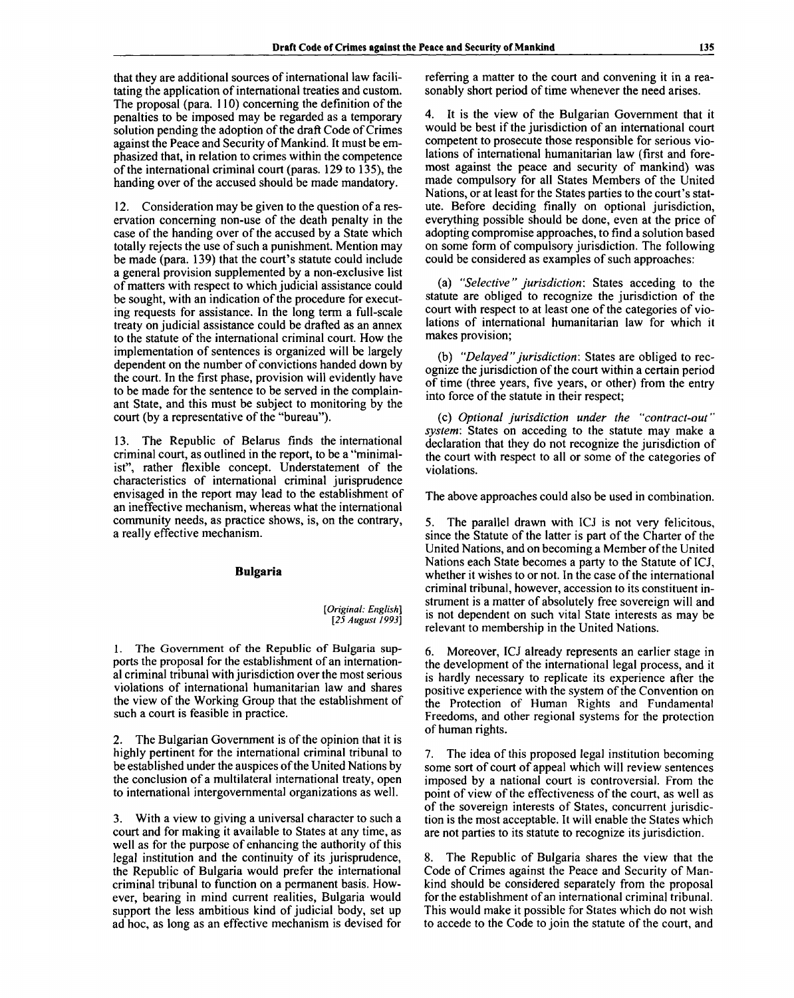that they are additional sources of international law facilitating the application of international treaties and custom. The proposal (para. 110) concerning the definition of the penalties to be imposed may be regarded as a temporary solution pending the adoption of the draft Code of Crimes against the Peace and Security of Mankind. It must be emphasized that, in relation to crimes within the competence of the international criminal court (paras. 129 to 135), the handing over of the accused should be made mandatory.

12. Consideration may be given to the question of a reservation concerning non-use of the death penalty in the case of the handing over of the accused by a State which totally rejects the use of such a punishment. Mention may be made (para. 139) that the court's statute could include a general provision supplemented by a non-exclusive list of matters with respect to which judicial assistance could be sought, with an indication of the procedure for executing requests for assistance. In the long term a full-scale treaty on judicial assistance could be drafted as an annex to the statute of the international criminal court. How the implementation of sentences is organized will be largely dependent on the number of convictions handed down by the court. In the first phase, provision will evidently have to be made for the sentence to be served in the complainant State, and this must be subject to monitoring by the court (by a representative of the "bureau").

13. The Republic of Belarus finds the international criminal court, as outlined in the report, to be a "minimalist", rather flexible concept. Understatement of the characteristics of international criminal jurisprudence envisaged in the report may lead to the establishment of an ineffective mechanism, whereas what the international community needs, as practice shows, is, on the contrary, a really effective mechanism.

# **Bulgaria**

*[Original: English] [25 August 1993]*

1. The Government of the Republic of Bulgaria supports the proposal for the establishment of an international criminal tribunal with jurisdiction over the most serious violations of international humanitarian law and shares the view of the Working Group that the establishment of such a court is feasible in practice.

2. The Bulgarian Government is of the opinion that it is highly pertinent for the international criminal tribunal to be established under the auspices of the United Nations by the conclusion of a multilateral international treaty, open to international intergovernmental organizations as well.

3. With a view to giving a universal character to such a court and for making it available to States at any time, as well as for the purpose of enhancing the authority of this legal institution and the continuity of its jurisprudence, the Republic of Bulgaria would prefer the international criminal tribunal to function on a permanent basis. However, bearing in mind current realities, Bulgaria would support the less ambitious kind of judicial body, set up ad hoc, as long as an effective mechanism is devised for

referring a matter to the court and convening it in a reasonably short period of time whenever the need arises.

4. It is the view of the Bulgarian Government that it would be best if the jurisdiction of an international court competent to prosecute those responsible for serious violations of international humanitarian law (first and foremost against the peace and security of mankind) was made compulsory for all States Members of the United Nations, or at least for the States parties to the court's statute. Before deciding finally on optional jurisdiction, everything possible should be done, even at the price of adopting compromise approaches, to find a solution based on some form of compulsory jurisdiction. The following could be considered as examples of such approaches:

(a) *"Selective" jurisdiction:* States acceding to the statute are obliged to recognize the jurisdiction of the court with respect to at least one of the categories of violations of international humanitarian law for which it makes provision;

(b) *"Delayed" jurisdiction:* States are obliged to recognize the jurisdiction of the court within a certain period of time (three years, five years, or other) from the entry into force of the statute in their respect;

(c) *Optional jurisdiction under the "contract-out" system:* States on acceding to the statute may make a declaration that they do not recognize the jurisdiction of the court with respect to all or some of the categories of violations.

The above approaches could also be used in combination.

5. The parallel drawn with ICJ is not very felicitous, since the Statute of the latter is part of the Charter of the United Nations, and on becoming a Member of the United Nations each State becomes a party to the Statute of ICJ, whether it wishes to or not. In the case of the international criminal tribunal, however, accession to its constituent instrument is a matter of absolutely free sovereign will and is not dependent on such vital State interests as may be relevant to membership in the United Nations.

6. Moreover, ICJ already represents an earlier stage in the development of the international legal process, and it is hardly necessary to replicate its experience after the positive experience with the system of the Convention on the Protection of Human Rights and Fundamental Freedoms, and other regional systems for the protection of human rights.

7. The idea of this proposed legal institution becoming some sort of court of appeal which will review sentences imposed by a national court is controversial. From the point of view of the effectiveness of the court, as well as of the sovereign interests of States, concurrent jurisdiction is the most acceptable. It will enable the States which are not parties to its statute to recognize its jurisdiction.

The Republic of Bulgaria shares the view that the Code of Crimes against the Peace and Security of Mankind should be considered separately from the proposal for the establishment of an international criminal tribunal. This would make it possible for States which do not wish to accede to the Code to join the statute of the court, and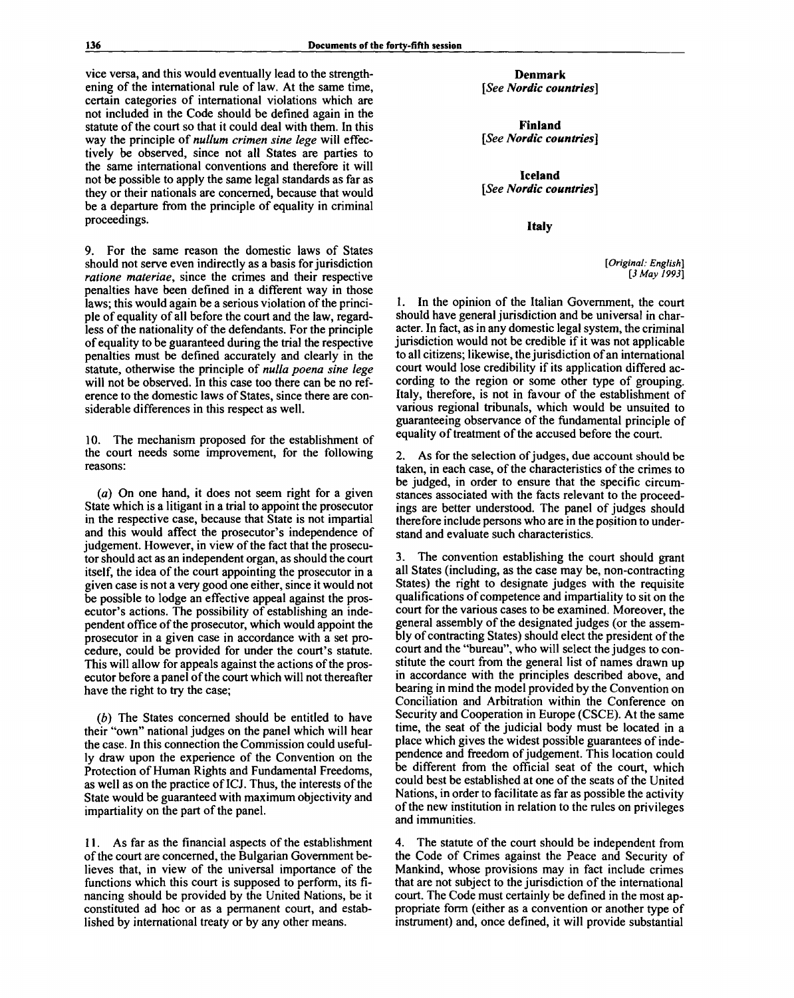vice versa, and this would eventually lead to the strengthening of the international rule of law. At the same time, certain categories of international violations which are not included in the Code should be defined again in the statute of the court so that it could deal with them. In this way the principle of *nullum crimen sine lege* will effectively be observed, since not all States are parties to the same international conventions and therefore it will not be possible to apply the same legal standards as far as they or their nationals are concerned, because that would be a departure from the principle of equality in criminal proceedings.

9. For the same reason the domestic laws of States should not serve even indirectly as a basis for jurisdiction *ratione materiae,* since the crimes and their respective penalties have been defined in a different way in those laws; this would again be a serious violation of the principle of equality of all before the court and the law, regardless of the nationality of the defendants. For the principle of equality to be guaranteed during the trial the respective penalties must be defined accurately and clearly in the statute, otherwise the principle of *nulla poena sine lege* will not be observed. In this case too there can be no reference to the domestic laws of States, since there are considerable differences in this respect as well.

10. The mechanism proposed for the establishment of the court needs some improvement, for the following reasons:

*(a)* On one hand, it does not seem right for a given State which is a litigant in a trial to appoint the prosecutor in the respective case, because that State is not impartial and this would affect the prosecutor's independence of judgement. However, in view of the fact that the prosecutor should act as an independent organ, as should the court itself, the idea of the court appointing the prosecutor in a given case is not a very good one either, since it would not be possible to lodge an effective appeal against the prosecutor's actions. The possibility of establishing an independent office of the prosecutor, which would appoint the prosecutor in a given case in accordance with a set procedure, could be provided for under the court's statute. This will allow for appeals against the actions of the prosecutor before a panel of the court which will not thereafter have the right to try the case;

(b) The States concerned should be entitled to have their "own" national judges on the panel which will hear the case. In this connection the Commission could usefully draw upon the experience of the Convention on the Protection of Human Rights and Fundamental Freedoms, as well as on the practice of ICJ. Thus, the interests of the State would be guaranteed with maximum objectivity and impartiality on the part of the panel.

11. As far as the financial aspects of the establishment of the court are concerned, the Bulgarian Government believes that, in view of the universal importance of the functions which this court is supposed to perform, its financing should be provided by the United Nations, be it constituted ad hoc or as a permanent court, and established by international treaty or by any other means.

**Denmark** *[See Nordic countries]*

**Finland** *[See Nordic countries]*

**Iceland** *[See Nordic countries]*

**Italy**

*[Original: English] [3 May 1993]*

1. In the opinion of the Italian Government, the court should have general jurisdiction and be universal in character. In fact, as in any domestic legal system, the criminal jurisdiction would not be credible if it was not applicable to all citizens; likewise, the jurisdiction of an international court would lose credibility if its application differed according to the region or some other type of grouping. Italy, therefore, is not in favour of the establishment of various regional tribunals, which would be unsuited to guaranteeing observance of the fundamental principle of equality of treatment of the accused before the court.

2. As for the selection of judges, due account should be taken, in each case, of the characteristics of the crimes to be judged, in order to ensure that the specific circumstances associated with the facts relevant to the proceedings are better understood. The panel of judges should therefore include persons who are in the position to understand and evaluate such characteristics.

3. The convention establishing the court should grant all States (including, as the case may be, non-contracting States) the right to designate judges with the requisite qualifications of competence and impartiality to sit on the court for the various cases to be examined. Moreover, the general assembly of the designated judges (or the assembly of contracting States) should elect the president of the court and the "bureau", who will select the judges to constitute the court from the general list of names drawn up in accordance with the principles described above, and bearing in mind the model provided by the Convention on Conciliation and Arbitration within the Conference on Security and Cooperation in Europe (CSCE). At the same time, the seat of the judicial body must be located in a place which gives the widest possible guarantees of independence and freedom of judgement. This location could be different from the official seat of the court, which could best be established at one of the seats of the United Nations, in order to facilitate as far as possible the activity of the new institution in relation to the rules on privileges and immunities.

4. The statute of the court should be independent from the Code of Crimes against the Peace and Security of Mankind, whose provisions may in fact include crimes that are not subject to the jurisdiction of the international court. The Code must certainly be defined in the most appropriate form (either as a convention or another type of instrument) and, once defined, it will provide substantial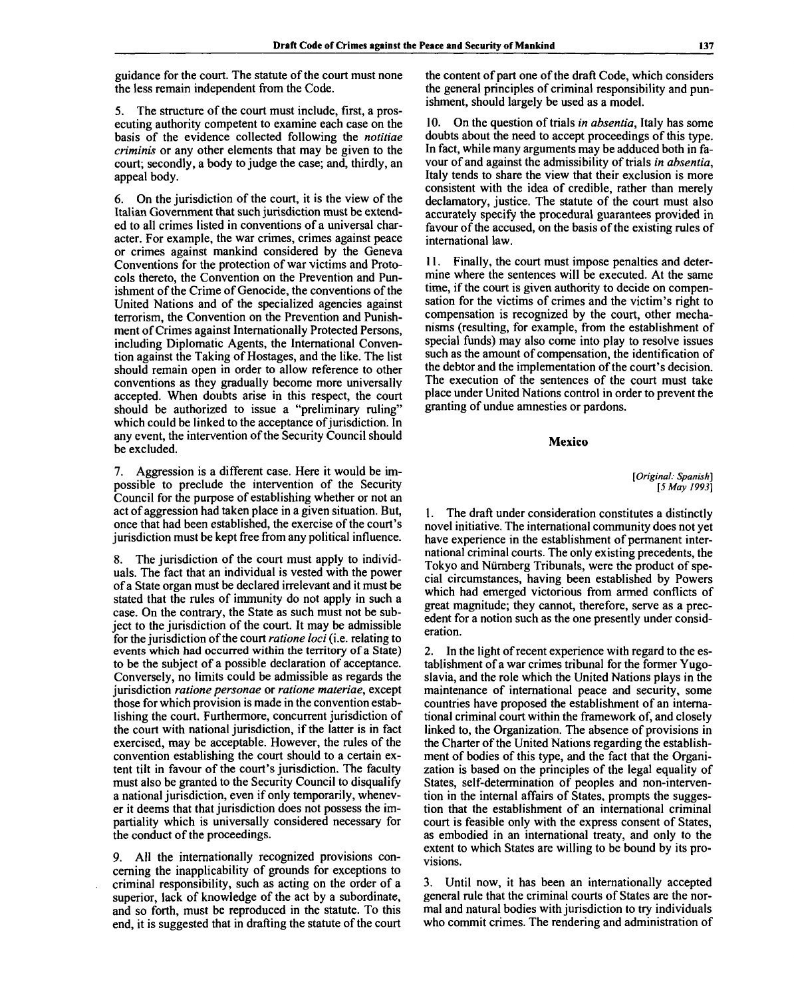guidance for the court. The statute of the court must none the less remain independent from the Code.

5. The structure of the court must include, first, a prosecuting authority competent to examine each case on the basis of the evidence collected following the *notitiae criminis* or any other elements that may be given to the court; secondly, a body to judge the case; and, thirdly, an appeal body.

6. On the jurisdiction of the court, it is the view of the Italian Government that such jurisdiction must be extended to all crimes listed in conventions of a universal character. For example, the war crimes, crimes against peace or crimes against mankind considered by the Geneva Conventions for the protection of war victims and Protocols thereto, the Convention on the Prevention and Punishment of the Crime of Genocide, the conventions of the United Nations and of the specialized agencies against terrorism, the Convention on the Prevention and Punishment of Crimes against Internationally Protected Persons, including Diplomatic Agents, the International Convention against the Taking of Hostages, and the like. The list should remain open in order to allow reference to other conventions as they gradually become more universally accepted. When doubts arise in this respect, the court should be authorized to issue a "preliminary ruling" which could be linked to the acceptance of jurisdiction. In any event, the intervention of the Security Council should be excluded.

7. Aggression is a different case. Here it would be impossible to preclude the intervention of the Security Council for the purpose of establishing whether or not an act of aggression had taken place in a given situation. But, once that had been established, the exercise of the court's jurisdiction must be kept free from any political influence.

8. The jurisdiction of the court must apply to individuals. The fact that an individual is vested with the power of a State organ must be declared irrelevant and it must be stated that the rules of immunity do not apply in such a case. On the contrary, the State as such must not be subject to the jurisdiction of the court. It may be admissible for the jurisdiction of the court *ratione loci* (i.e. relating to events which had occurred within the territory of a State) to be the subject of a possible declaration of acceptance. Conversely, no limits could be admissible as regards the jurisdiction *ratione personae* or *ratione materiae,* except those for which provision is made in the convention establishing the court. Furthermore, concurrent jurisdiction of the court with national jurisdiction, if the latter is in fact exercised, may be acceptable. However, the rules of the convention establishing the court should to a certain extent tilt in favour of the court's jurisdiction. The faculty must also be granted to the Security Council to disqualify a national jurisdiction, even if only temporarily, whenever it deems that that jurisdiction does not possess the impartiality which is universally considered necessary for the conduct of the proceedings.

9. All the internationally recognized provisions concerning the inapplicability of grounds for exceptions to criminal responsibility, such as acting on the order of a superior, lack of knowledge of the act by a subordinate, and so forth, must be reproduced in the statute. To this end, it is suggested that in drafting the statute of the court the content of part one of the draft Code, which considers the general principles of criminal responsibility and punishment, should largely be used as a model.

10. On the question of trials *in absentia,* Italy has some doubts about the need to accept proceedings of this type. In fact, while many arguments may be adduced both in favour of and against the admissibility of trials *in absentia,* Italy tends to share the view that their exclusion is more consistent with the idea of credible, rather than merely declamatory, justice. The statute of the court must also accurately specify the procedural guarantees provided in favour of the accused, on the basis of the existing rules of international law.

11. Finally, the court must impose penalties and determine where the sentences will be executed. At the same time, if the court is given authority to decide on compensation for the victims of crimes and the victim's right to compensation is recognized by the court, other mechanisms (resulting, for example, from the establishment of special funds) may also come into play to resolve issues such as the amount of compensation, the identification of the debtor and the implementation of the court's decision. The execution of the sentences of the court must take place under United Nations control in order to prevent the granting of undue amnesties or pardons.

**Mexico**

*[Original: Spanish] [5 May 1993]*

1. The draft under consideration constitutes a distinctly novel initiative. The international community does not yet have experience in the establishment of permanent international criminal courts. The only existing precedents, the Tokyo and Nurnberg Tribunals, were the product of special circumstances, having been established by Powers which had emerged victorious from armed conflicts of great magnitude; they cannot, therefore, serve as a precedent for a notion such as the one presently under consideration.

2. In the light of recent experience with regard to the establishment of a war crimes tribunal for the former Yugoslavia, and the role which the United Nations plays in the maintenance of international peace and security, some countries have proposed the establishment of an international criminal court within the framework of, and closely linked to, the Organization. The absence of provisions in the Charter of the United Nations regarding the establishment of bodies of this type, and the fact that the Organization is based on the principles of the legal equality of States, self-determination of peoples and non-intervention in the internal affairs of States, prompts the suggestion that the establishment of an international criminal court is feasible only with the express consent of States, as embodied in an international treaty, and only to the extent to which States are willing to be bound by its provisions.

3. Until now, it has been an internationally accepted general rule that the criminal courts of States are the normal and natural bodies with jurisdiction to try individuals who commit crimes. The rendering and administration of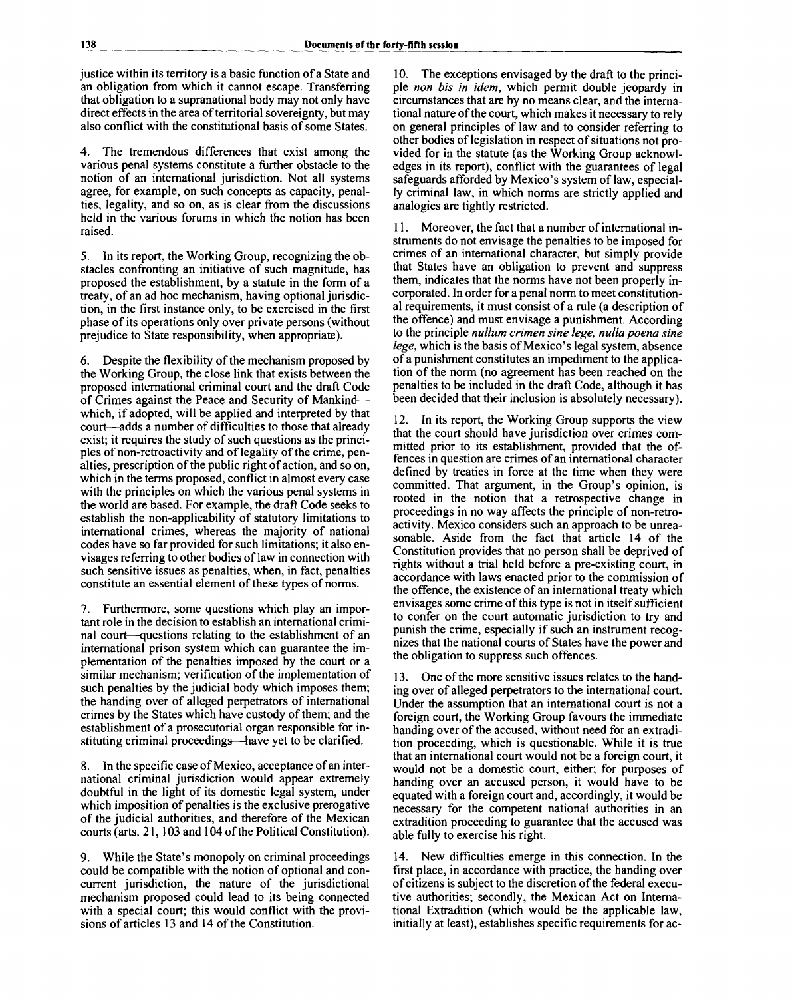justice within its territory is a basic function of a State and an obligation from which it cannot escape. Transferring that obligation to a supranational body may not only have direct effects in the area of territorial sovereignty, but may also conflict with the constitutional basis of some States.

4. The tremendous differences that exist among the various penal systems constitute a further obstacle to the notion of an international jurisdiction. Not all systems agree, for example, on such concepts as capacity, penalties, legality, and so on, as is clear from the discussions held in the various forums in which the notion has been raised.

5. In its report, the Working Group, recognizing the obstacles confronting an initiative of such magnitude, has proposed the establishment, by a statute in the form of a treaty, of an ad hoc mechanism, having optional jurisdiction, in the first instance only, to be exercised in the first phase of its operations only over private persons (without prejudice to State responsibility, when appropriate).

6. Despite the flexibility of the mechanism proposed by the Working Group, the close link that exists between the proposed international criminal court and the draft Code of Crimes against the Peace and Security of Mankind which, if adopted, will be applied and interpreted by that court—adds a number of difficulties to those that already exist; it requires the study of such questions as the principles of non-retroactivity and of legality of the crime, penalties, prescription of the public right of action, and so on, which in the terms proposed, conflict in almost every case with the principles on which the various penal systems in the world are based. For example, the draft Code seeks to establish the non-applicability of statutory limitations to international crimes, whereas the majority of national codes have so far provided for such limitations; it also envisages referring to other bodies of law in connection with such sensitive issues as penalties, when, in fact, penalties constitute an essential element of these types of norms.

7. Furthermore, some questions which play an important role in the decision to establish an international criminal court—questions relating to the establishment of an international prison system which can guarantee the implementation of the penalties imposed by the court or a similar mechanism; verification of the implementation of such penalties by the judicial body which imposes them; the handing over of alleged perpetrators of international crimes by the States which have custody of them; and the establishment of a prosecutorial organ responsible for instituting criminal proceedings—have yet to be clarified.

8. In the specific case of Mexico, acceptance of an international criminal jurisdiction would appear extremely doubtful in the light of its domestic legal system, under which imposition of penalties is the exclusive prerogative of the judicial authorities, and therefore of the Mexican courts (arts. 21,103 and 104 of the Political Constitution).

9. While the State's monopoly on criminal proceedings could be compatible with the notion of optional and concurrent jurisdiction, the nature of the jurisdictional mechanism proposed could lead to its being connected with a special court; this would conflict with the provisions of articles 13 and 14 of the Constitution.

10. The exceptions envisaged by the draft to the principle *non bis in idem,* which permit double jeopardy in circumstances that are by no means clear, and the international nature of the court, which makes it necessary to rely on general principles of law and to consider referring to other bodies of legislation in respect of situations not provided for in the statute (as the Working Group acknowledges in its report), conflict with the guarantees of legal safeguards afforded by Mexico's system of law, especially criminal law, in which norms are strictly applied and analogies are tightly restricted.

11. Moreover, the fact that a number of international instruments do not envisage the penalties to be imposed for crimes of an international character, but simply provide that States have an obligation to prevent and suppress them, indicates that the norms have not been properly incorporated. In order for a penal norm to meet constitutional requirements, it must consist of a rule (a description of the offence) and must envisage a punishment. According to the principle *nullum crimen sine lege, nulla poena sine lege,* which is the basis of Mexico's legal system, absence of a punishment constitutes an impediment to the application of the norm (no agreement has been reached on the penalties to be included in the draft Code, although it has been decided that their inclusion is absolutely necessary).

12. In its report, the Working Group supports the view that the court should have jurisdiction over crimes committed prior to its establishment, provided that the offences in question are crimes of an international character defined by treaties in force at the time when they were committed. That argument, in the Group's opinion, is rooted in the notion that a retrospective change in proceedings in no way affects the principle of non-retroactivity. Mexico considers such an approach to be unreasonable. Aside from the fact that article 14 of the Constitution provides that no person shall be deprived of rights without a trial held before a pre-existing court, in accordance with laws enacted prior to the commission of the offence, the existence of an international treaty which envisages some crime of this type is not in itself sufficient to confer on the court automatic jurisdiction to try and punish the crime, especially if such an instrument recognizes that the national courts of States have the power and the obligation to suppress such offences.

13. One of the more sensitive issues relates to the handing over of alleged perpetrators to the international court. Under the assumption that an international court is not a foreign court, the Working Group favours the immediate handing over of the accused, without need for an extradition proceeding, which is questionable. While it is true that an international court would not be a foreign court, it would not be a domestic court, either; for purposes of handing over an accused person, it would have to be equated with a foreign court and, accordingly, it would be necessary for the competent national authorities in an extradition proceeding to guarantee that the accused was able fully to exercise his right.

14. New difficulties emerge in this connection. In the first place, in accordance with practice, the handing over of citizens is subject to the discretion of the federal executive authorities; secondly, the Mexican Act on International Extradition (which would be the applicable law, initially at least), establishes specific requirements for ac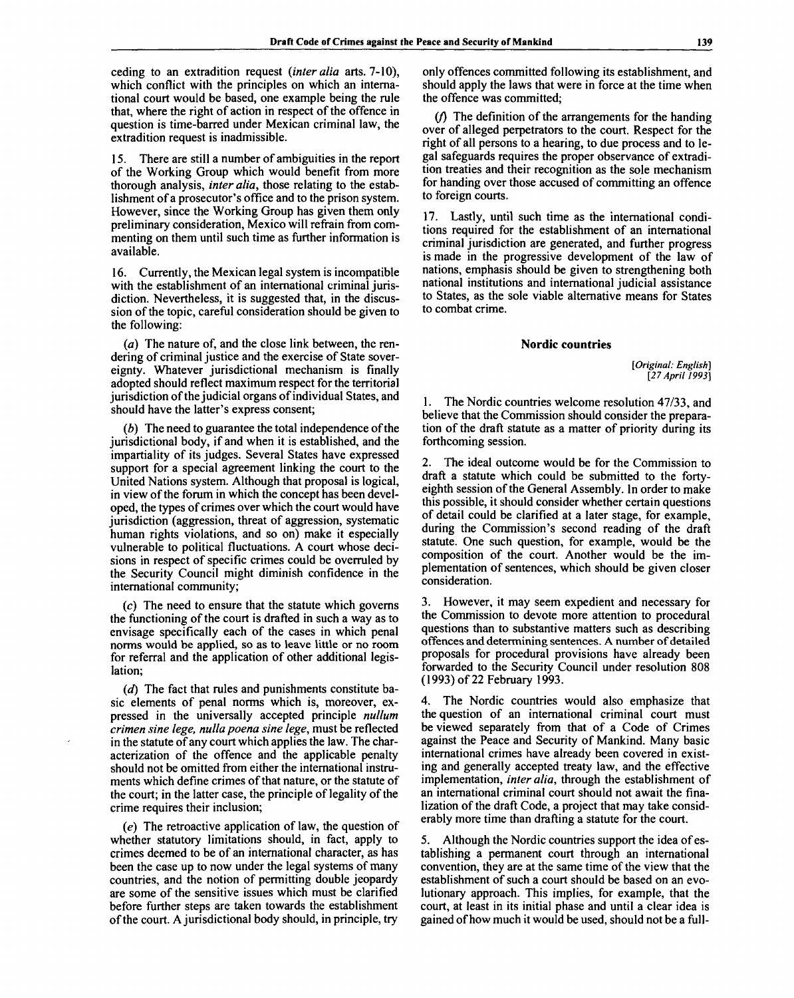ceding to an extradition request *(inter alia* arts. 7-10), which conflict with the principles on which an international court would be based, one example being the rule that, where the right of action in respect of the offence in question is time-barred under Mexican criminal law, the extradition request is inadmissible.

There are still a number of ambiguities in the report of the Working Group which would benefit from more thorough analysis, *inter alia,* those relating to the establishment of a prosecutor's office and to the prison system. However, since the Working Group has given them only preliminary consideration, Mexico will refrain from commenting on them until such time as further information is available.

16. Currently, the Mexican legal system is incompatible with the establishment of an international criminal jurisdiction. Nevertheless, it is suggested that, in the discussion of the topic, careful consideration should be given to the following:

*(a)* The nature of, and the close link between, the rendering of criminal justice and the exercise of State sovereignty. Whatever jurisdictional mechanism is finally adopted should reflect maximum respect for the territorial jurisdiction of the judicial organs of individual States, and should have the latter's express consent;

*(b)* The need to guarantee the total independence of the jurisdictional body, if and when it is established, and the impartiality of its judges. Several States have expressed support for a special agreement linking the court to the United Nations system. Although that proposal is logical, in view of the forum in which the concept has been developed, the types of crimes over which the court would have jurisdiction (aggression, threat of aggression, systematic human rights violations, and so on) make it especially vulnerable to political fluctuations. A court whose decisions in respect of specific crimes could be overruled by the Security Council might diminish confidence in the international community;

*(c)* The need to ensure that the statute which governs the functioning of the court is drafted in such a way as to envisage specifically each of the cases in which penal norms would be applied, so as to leave little or no room for referral and the application of other additional legislation;

*(d)* The fact that rules and punishments constitute basic elements of penal norms which is, moreover, expressed in the universally accepted principle *nullum crimen sine lege, nulla poena sine lege,* must be reflected in the statute of any court which applies the law. The characterization of the offence and the applicable penalty should not be omitted from either the international instruments which define crimes of that nature, or the statute of the court; in the latter case, the principle of legality of the crime requires their inclusion;

(e) The retroactive application of law, the question of whether statutory limitations should, in fact, apply to crimes deemed to be of an international character, as has been the case up to now under the legal systems of many countries, and the notion of permitting double jeopardy are some of the sensitive issues which must be clarified before further steps are taken towards the establishment of the court. A jurisdictional body should, in principle, try

only offences committed following its establishment, and should apply the laws that were in force at the time when the offence was committed;

*if)* The definition of the arrangements for the handing over of alleged perpetrators to the court. Respect for the right of all persons to a hearing, to due process and to legal safeguards requires the proper observance of extradition treaties and their recognition as the sole mechanism for handing over those accused of committing an offence to foreign courts.

17. Lastly, until such time as the international conditions required for the establishment of an international criminal jurisdiction are generated, and further progress is made in the progressive development of the law of nations, emphasis should be given to strengthening both national institutions and international judicial assistance to States, as the sole viable alternative means for States to combat crime.

#### **Nordic countries**

*[Original: English] [27 April 1993]*

1. The Nordic countries welcome resolution 47/33, and believe that the Commission should consider the preparation of the draft statute as a matter of priority during its forthcoming session.

2. The ideal outcome would be for the Commission to draft a statute which could be submitted to the fortyeighth session of the General Assembly. In order to make this possible, it should consider whether certain questions of detail could be clarified at a later stage, for example, during the Commission's second reading of the draft statute. One such question, for example, would be the composition of the court. Another would be the implementation of sentences, which should be given closer consideration.

3. However, it may seem expedient and necessary for the Commission to devote more attention to procedural questions than to substantive matters such as describing offences and determining sentences. A number of detailed proposals for procedural provisions have already been forwarded to the Security Council under resolution 808 (1993) of 22 February 1993.

4. The Nordic countries would also emphasize that the question of an international criminal court must be viewed separately from that of a Code of Crimes against the Peace and Security of Mankind. Many basic international crimes have already been covered in existing and generally accepted treaty law, and the effective implementation, *inter alia,* through the establishment of an international criminal court should not await the finalization of the draft Code, a project that may take considerably more time than drafting a statute for the court.

5. Although the Nordic countries support the idea of establishing a permanent court through an international convention, they are at the same time of the view that the establishment of such a court should be based on an evolutionary approach. This implies, for example, that the court, at least in its initial phase and until a clear idea is gained of how much it would be used, should not be a full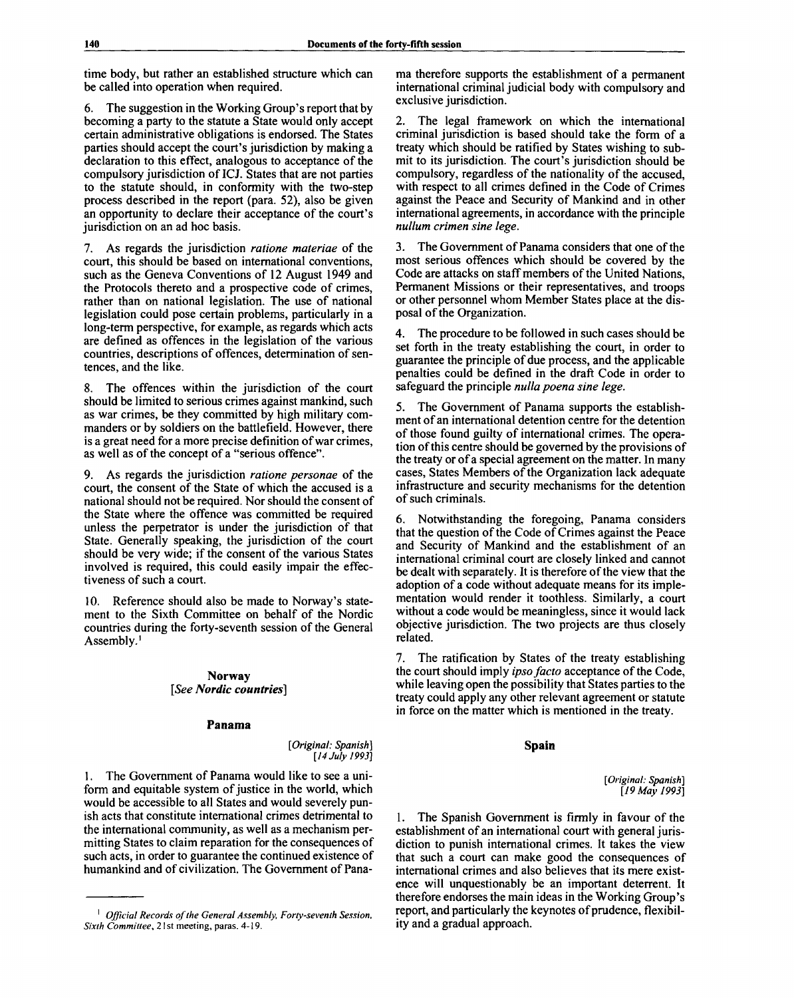time body, but rather an established structure which can be called into operation when required.

6. The suggestion in the Working Group's report that by becoming a party to the statute a State would only accept certain administrative obligations is endorsed. The States parties should accept the court's jurisdiction by making a declaration to this effect, analogous to acceptance of the compulsory jurisdiction of ICJ. States that are not parties to the statute should, in conformity with the two-step process described in the report (para. 52), also be given an opportunity to declare their acceptance of the court's jurisdiction on an ad hoc basis.

7. As regards the jurisdiction *ratione materiae* of the court, this should be based on international conventions, such as the Geneva Conventions of 12 August 1949 and the Protocols thereto and a prospective code of crimes, rather than on national legislation. The use of national legislation could pose certain problems, particularly in a long-term perspective, for example, as regards which acts are defined as offences in the legislation of the various countries, descriptions of offences, determination of sentences, and the like.

8. The offences within the jurisdiction of the court should be limited to serious crimes against mankind, such as war crimes, be they committed by high military commanders or by soldiers on the battlefield. However, there is a great need for a more precise definition of war crimes, as well as of the concept of a "serious offence".

9. As regards the jurisdiction *ratione personae* of the court, the consent of the State of which the accused is a national should not be required. Nor should the consent of the State where the offence was committed be required unless the perpetrator is under the jurisdiction of that State. Generally speaking, the jurisdiction of the court should be very wide; if the consent of the various States involved is required, this could easily impair the effectiveness of such a court.

10. Reference should also be made to Norway's statement to the Sixth Committee on behalf of the Nordic countries during the forty-seventh session of the General Assembly.<sup>1</sup>

# **Norway** *[See Nordic countries]*

#### **Panama**

*[Original: Spanish] [14 July 1993]*

1. The Government of Panama would like to see a uniform and equitable system of justice in the world, which would be accessible to all States and would severely punish acts that constitute international crimes detrimental to the international community, as well as a mechanism permitting States to claim reparation for the consequences of such acts, in order to guarantee the continued existence of humankind and of civilization. The Government of Pana-

ma therefore supports the establishment of a permanent international criminal judicial body with compulsory and exclusive jurisdiction.

2. The legal framework on which the international criminal jurisdiction is based should take the form of a treaty which should be ratified by States wishing to submit to its jurisdiction. The court's jurisdiction should be compulsory, regardless of the nationality of the accused, with respect to all crimes defined in the Code of Crimes against the Peace and Security of Mankind and in other international agreements, in accordance with the principle *nullum crimen sine lege.*

3. The Government of Panama considers that one of the most serious offences which should be covered by the Code are attacks on staff members of the United Nations, Permanent Missions or their representatives, and troops or other personnel whom Member States place at the disposal of the Organization.

4. The procedure to be followed in such cases should be set forth in the treaty establishing the court, in order to guarantee the principle of due process, and the applicable penalties could be defined in the draft Code in order to safeguard the principle *nulla poena sine lege*.

5. The Government of Panama supports the establishment of an international detention centre for the detention of those found guilty of international crimes. The operation of this centre should be governed by the provisions of the treaty or of a special agreement on the matter. In many cases, States Members of the Organization lack adequate infrastructure and security mechanisms for the detention of such criminals.

6. Notwithstanding the foregoing, Panama considers that the question of the Code of Crimes against the Peace and Security of Mankind and the establishment of an international criminal court are closely linked and cannot be dealt with separately. It is therefore of the view that the adoption of a code without adequate means for its implementation would render it toothless. Similarly, a court without a code would be meaningless, since it would lack objective jurisdiction. The two projects are thus closely related.

7. The ratification by States of the treaty establishing the court should imply *ipso facto* acceptance of the Code, while leaving open the possibility that States parties to the treaty could apply any other relevant agreement or statute in force on the matter which is mentioned in the treaty.

#### **Spain**

*[Original: Spanish] [19 May 1993]*

1. The Spanish Government is firmly in favour of the establishment of an international court with general jurisdiction to punish international crimes. It takes the view that such a court can make good the consequences of international crimes and also believes that its mere existence will unquestionably be an important deterrent. It therefore endorses the main ideas in the Working Group's report, and particularly the keynotes of prudence, flexibility and a gradual approach.

<sup>1</sup>  *Official Records of the General Assembly, Forty-seventh Session, Sixth Committee, 2*1 st meeting, paras. 4-19.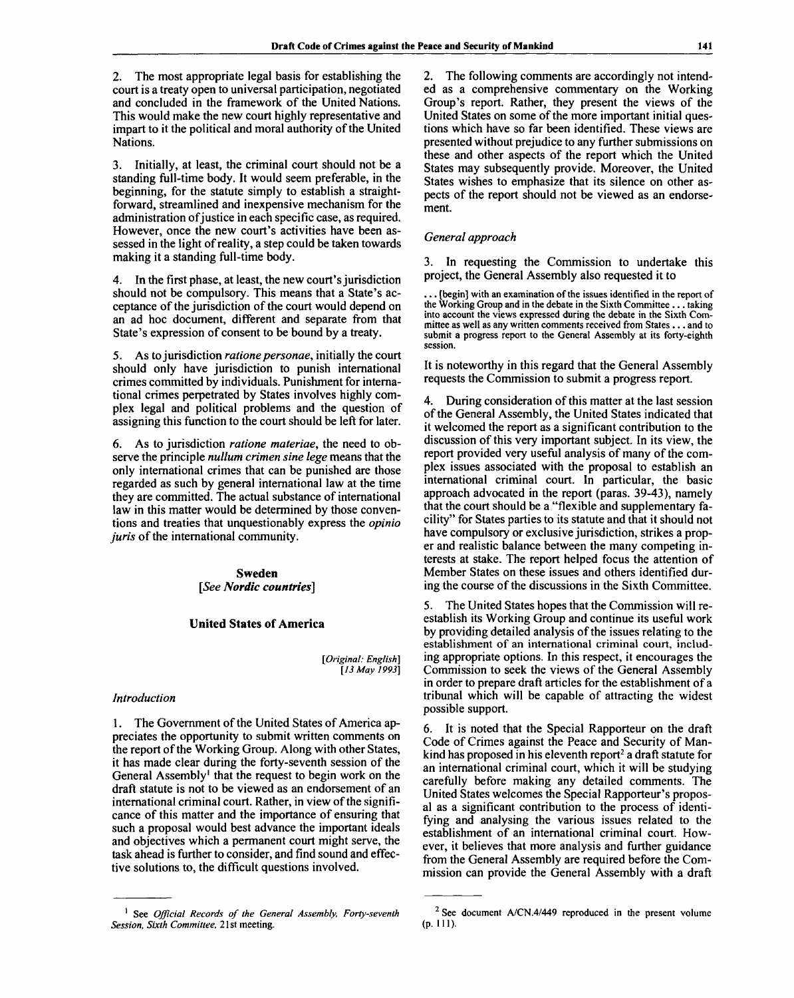2. The most appropriate legal basis for establishing the court is a treaty open to universal participation, negotiated and concluded in the framework of the United Nations. This would make the new court highly representative and impart to it the political and moral authority of the United Nations.

3. Initially, at least, the criminal court should not be a standing full-time body. It would seem preferable, in the beginning, for the statute simply to establish a straightforward, streamlined and inexpensive mechanism for the administration of justice in each specific case, as required. However, once the new court's activities have been assessed in the light of reality, a step could be taken towards making it a standing full-time body.

4. In the first phase, at least, the new court's jurisdiction should not be compulsory. This means that a State's acceptance of the jurisdiction of the court would depend on an ad hoc document, different and separate from that State's expression of consent to be bound by a treaty.

5. As to jurisdiction *ratione personae,* initially the court should only have jurisdiction to punish international crimes committed by individuals. Punishment for international crimes perpetrated by States involves highly complex legal and political problems and the question of assigning this function to the court should be left for later.

6. As to jurisdiction *ratione materiae,* the need to observe the principle *nullum crimen sine lege* means that the only international crimes that can be punished are those regarded as such by general international law at the time they are committed. The actual substance of international law in this matter would be determined by those conventions and treaties that unquestionably express the *opinio juris* of the international community.

> **Sweden** *[See Nordic countries]*

# **United States of America**

*[Original: English] [13 May 1993]*

### *Introduction*

1. The Government of the United States of America appreciates the opportunity to submit written comments on the report of the Working Group. Along with other States, it has made clear during the forty-seventh session of the General Assembly<sup>1</sup> that the request to begin work on the draft statute is not to be viewed as an endorsement of an international criminal court. Rather, in view of the significance of this matter and the importance of ensuring that such a proposal would best advance the important ideals and objectives which a permanent court might serve, the task ahead is further to consider, and find sound and effective solutions to, the difficult questions involved.

2. The following comments are accordingly not intended as a comprehensive commentary on the Working Group's report. Rather, they present the views of the United States on some of the more important initial questions which have so far been identified. These views are presented without prejudice to any further submissions on these and other aspects of the report which the United States may subsequently provide. Moreover, the United States wishes to emphasize that its silence on other aspects of the report should not be viewed as an endorsement.

#### *General approach*

3. In requesting the Commission to undertake this project, the General Assembly also requested it to

(begin) with an examination of the issues identified in the report of the Working Group and in the debate in the Sixth Committee .. . taking into account the views expressed during the debate in the Sixth Committee as well as any written comments received from States... and to submit a progress report to the General Assembly at its forty-eighth session.

It is noteworthy in this regard that the General Assembly requests the Commission to submit a progress report.

4. During consideration of this matter at the last session of the General Assembly, the United States indicated that it welcomed the report as a significant contribution to the discussion of this very important subject. In its view, the report provided very useful analysis of many of the complex issues associated with the proposal to establish an international criminal court. In particular, the basic approach advocated in the report (paras. 39-43), namely that the court should be a "flexible and supplementary facility" for States parties to its statute and that it should not have compulsory or exclusive jurisdiction, strikes a proper and realistic balance between the many competing interests at stake. The report helped focus the attention of Member States on these issues and others identified during the course of the discussions in the Sixth Committee.

5. The United States hopes that the Commission will reestablish its Working Group and continue its useful work by providing detailed analysis of the issues relating to the establishment of an international criminal court, including appropriate options. In this respect, it encourages the Commission to seek the views of the General Assembly in order to prepare draft articles for the establishment of a tribunal which will be capable of attracting the widest possible support.

6. It is noted that the Special Rapporteur on the draft Code of Crimes against the Peace and Security of Mankind has proposed in his eleventh report<sup>2</sup> a draft statute for an international criminal court, which it will be studying carefully before making any detailed comments. The United States welcomes the Special Rapporteur's proposal as a significant contribution to the process of identifying and analysing the various issues related to the establishment of an international criminal court. However, it believes that more analysis and further guidance from the General Assembly are required before the Commission can provide the General Assembly with a draft

<sup>1</sup> See *Official Records of the General Assembly, Forty-seventh Session, Sixth Committee, 2*1 st meeting.

<sup>&</sup>lt;sup>2</sup> See document A/CN.4/449 reproduced in the present volume (p. HI).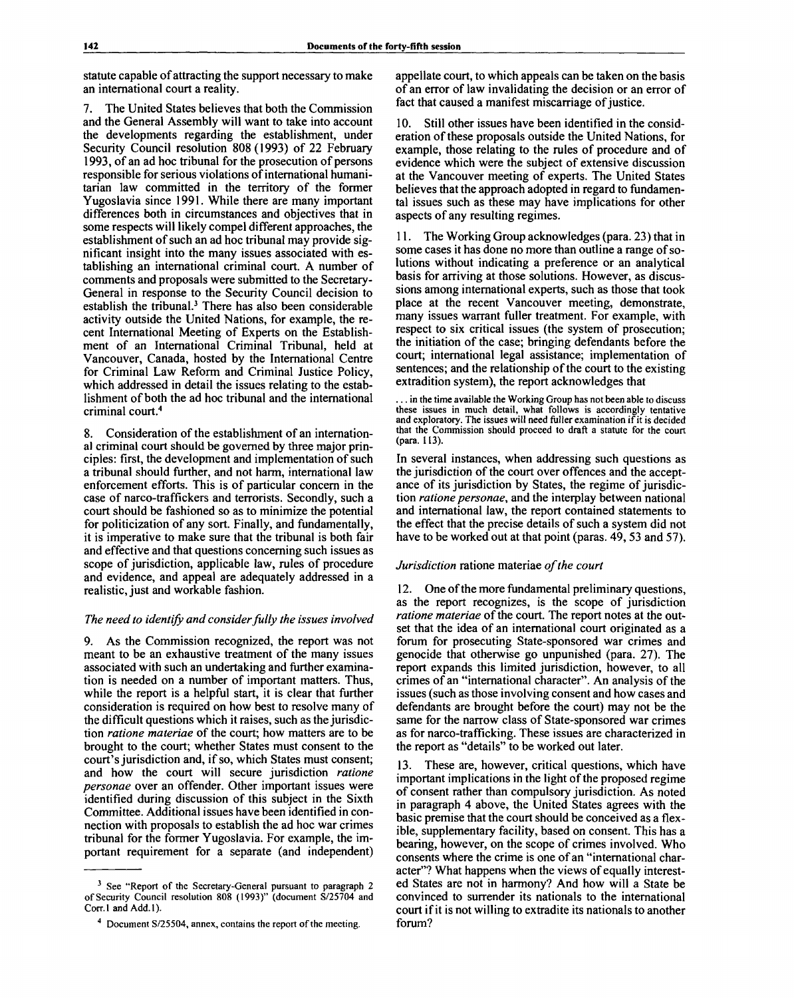statute capable of attracting the support necessary to make an international court a reality.

7. The United States believes that both the Commission and the General Assembly will want to take into account the developments regarding the establishment, under Security Council resolution 808(1993) of 22 February 1993, of an ad hoc tribunal for the prosecution of persons responsible for serious violations of international humanitarian law committed in the territory of the former Yugoslavia since 1991. While there are many important differences both in circumstances and objectives that in some respects will likely compel different approaches, the establishment of such an ad hoc tribunal may provide significant insight into the many issues associated with establishing an international criminal court. A number of comments and proposals were submitted to the Secretary-General in response to the Security Council decision to establish the tribunal.<sup>3</sup> There has also been considerable activity outside the United Nations, for example, the recent International Meeting of Experts on the Establishment of an International Criminal Tribunal, held at Vancouver, Canada, hosted by the International Centre for Criminal Law Reform and Criminal Justice Policy, which addressed in detail the issues relating to the establishment of both the ad hoc tribunal and the international criminal court.<sup>4</sup>

8. Consideration of the establishment of an international criminal court should be governed by three major principles: first, the development and implementation of such a tribunal should further, and not harm, international law enforcement efforts. This is of particular concern in the case of narco-traffickers and terrorists. Secondly, such a court should be fashioned so as to minimize the potential for politicization of any sort. Finally, and fundamentally, it is imperative to make sure that the tribunal is both fair and effective and that questions concerning such issues as scope of jurisdiction, applicable law, rules of procedure and evidence, and appeal are adequately addressed in a realistic, just and workable fashion.

# *The need to identify and consider fully the issues involved*

9. As the Commission recognized, the report was not meant to be an exhaustive treatment of the many issues associated with such an undertaking and further examination is needed on a number of important matters. Thus, while the report is a helpful start, it is clear that further consideration is required on how best to resolve many of the difficult questions which it raises, such as the jurisdiction *ratione materiae* of the court; how matters are to be brought to the court; whether States must consent to the court's jurisdiction and, if so, which States must consent; and how the court will secure jurisdiction *ratione personae* over an offender. Other important issues were identified during discussion of this subject in the Sixth Committee. Additional issues have been identified in connection with proposals to establish the ad hoc war crimes tribunal for the former Yugoslavia. For example, the important requirement for a separate (and independent)

appellate court, to which appeals can be taken on the basis of an error of law invalidating the decision or an error of fact that caused a manifest miscarriage of justice.

10. Still other issues have been identified in the consideration of these proposals outside the United Nations, for example, those relating to the rules of procedure and of evidence which were the subject of extensive discussion at the Vancouver meeting of experts. The United States believes that the approach adopted in regard to fundamental issues such as these may have implications for other aspects of any resulting regimes.

11. The Working Group acknowledges (para. 23) that in some cases it has done no more than outline a range of solutions without indicating a preference or an analytical basis for arriving at those solutions. However, as discussions among international experts, such as those that took place at the recent Vancouver meeting, demonstrate, many issues warrant fuller treatment. For example, with respect to six critical issues (the system of prosecution; the initiation of the case; bringing defendants before the court; international legal assistance; implementation of sentences; and the relationship of the court to the existing extradition system), the report acknowledges that

... in the time available the Working Group has not been able to discuss these issues in much detail, what follows is accordingly tentative and exploratory. The issues will need fuller examination if it is decided that the Commission should proceed to draft a statute for the court (para. 113).

In several instances, when addressing such questions as the jurisdiction of the court over offences and the acceptance of its jurisdiction by States, the regime of jurisdiction *ratione personae,* and the interplay between national and international law, the report contained statements to the effect that the precise details of such a system did not have to be worked out at that point (paras. 49, 53 and 57).

# *Jurisdiction* ratione materiae *of the court*

12. One of the more fundamental preliminary questions, as the report recognizes, is the scope of jurisdiction *ratione materiae* of the court. The report notes at the outset that the idea of an international court originated as a forum for prosecuting State-sponsored war crimes and genocide that otherwise go unpunished (para. 27). The report expands this limited jurisdiction, however, to all crimes of an "international character". An analysis of the issues (such as those involving consent and how cases and defendants are brought before the court) may not be the same for the narrow class of State-sponsored war crimes as for narco-trafficking. These issues are characterized in the report as "details" to be worked out later.

13. These are, however, critical questions, which have important implications in the light of the proposed regime of consent rather than compulsory jurisdiction. As noted in paragraph 4 above, the United States agrees with the basic premise that the court should be conceived as a flexible, supplementary facility, based on consent. This has a bearing, however, on the scope of crimes involved. Who consents where the crime is one of an "international character"? What happens when the views of equally interested States are not in harmony? And how will a State be convinced to surrender its nationals to the international court if it is not willing to extradite its nationals to another forum?

<sup>&</sup>lt;sup>3</sup> See "Report of the Secretary-General pursuant to paragraph 2 of Security Council resolution 808 (1993)" (document S/25704 and Corr.l and Add. 1).

<sup>4</sup> Document S/25504, annex, contains the report of the meeting.